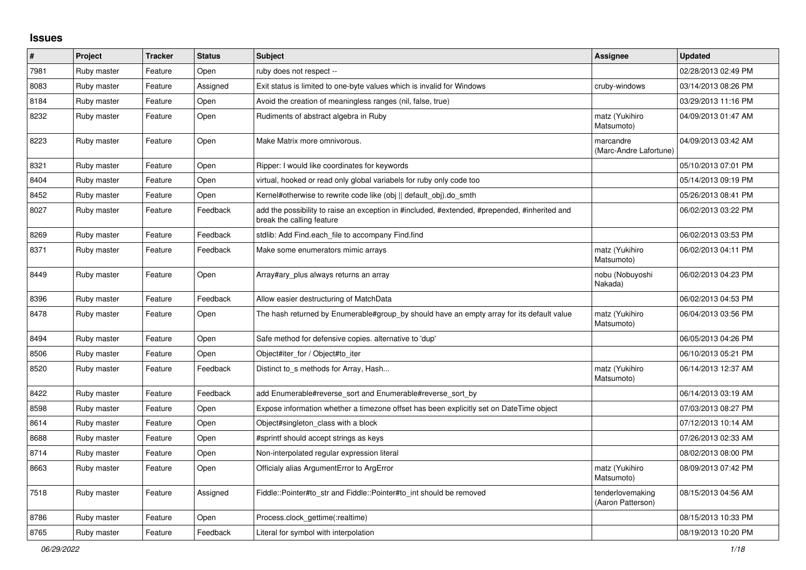## **Issues**

| $\vert$ # | Project     | <b>Tracker</b> | <b>Status</b> | <b>Subject</b>                                                                                                             | <b>Assignee</b>                       | <b>Updated</b>      |
|-----------|-------------|----------------|---------------|----------------------------------------------------------------------------------------------------------------------------|---------------------------------------|---------------------|
| 7981      | Ruby master | Feature        | Open          | ruby does not respect --                                                                                                   |                                       | 02/28/2013 02:49 PM |
| 8083      | Ruby master | Feature        | Assigned      | Exit status is limited to one-byte values which is invalid for Windows                                                     | cruby-windows                         | 03/14/2013 08:26 PM |
| 8184      | Ruby master | Feature        | Open          | Avoid the creation of meaningless ranges (nil, false, true)                                                                |                                       | 03/29/2013 11:16 PM |
| 8232      | Ruby master | Feature        | Open          | Rudiments of abstract algebra in Ruby                                                                                      | matz (Yukihiro<br>Matsumoto)          | 04/09/2013 01:47 AM |
| 8223      | Ruby master | Feature        | Open          | Make Matrix more omnivorous.                                                                                               | marcandre<br>(Marc-Andre Lafortune)   | 04/09/2013 03:42 AM |
| 8321      | Ruby master | Feature        | Open          | Ripper: I would like coordinates for keywords                                                                              |                                       | 05/10/2013 07:01 PM |
| 8404      | Ruby master | Feature        | Open          | virtual, hooked or read only global variabels for ruby only code too                                                       |                                       | 05/14/2013 09:19 PM |
| 8452      | Ruby master | Feature        | Open          | Kernel#otherwise to rewrite code like (obj    default obj).do smth                                                         |                                       | 05/26/2013 08:41 PM |
| 8027      | Ruby master | Feature        | Feedback      | add the possibility to raise an exception in #included, #extended, #prepended, #inherited and<br>break the calling feature |                                       | 06/02/2013 03:22 PM |
| 8269      | Ruby master | Feature        | Feedback      | stdlib: Add Find.each_file to accompany Find.find                                                                          |                                       | 06/02/2013 03:53 PM |
| 8371      | Ruby master | Feature        | Feedback      | Make some enumerators mimic arrays                                                                                         | matz (Yukihiro<br>Matsumoto)          | 06/02/2013 04:11 PM |
| 8449      | Ruby master | Feature        | Open          | Array#ary_plus always returns an array                                                                                     | nobu (Nobuyoshi<br>Nakada)            | 06/02/2013 04:23 PM |
| 8396      | Ruby master | Feature        | Feedback      | Allow easier destructuring of MatchData                                                                                    |                                       | 06/02/2013 04:53 PM |
| 8478      | Ruby master | Feature        | Open          | The hash returned by Enumerable#group by should have an empty array for its default value                                  | matz (Yukihiro<br>Matsumoto)          | 06/04/2013 03:56 PM |
| 8494      | Ruby master | Feature        | Open          | Safe method for defensive copies. alternative to 'dup'                                                                     |                                       | 06/05/2013 04:26 PM |
| 8506      | Ruby master | Feature        | Open          | Object#iter for / Object#to iter                                                                                           |                                       | 06/10/2013 05:21 PM |
| 8520      | Ruby master | Feature        | Feedback      | Distinct to s methods for Array, Hash                                                                                      | matz (Yukihiro<br>Matsumoto)          | 06/14/2013 12:37 AM |
| 8422      | Ruby master | Feature        | Feedback      | add Enumerable#reverse_sort and Enumerable#reverse_sort_by                                                                 |                                       | 06/14/2013 03:19 AM |
| 8598      | Ruby master | Feature        | Open          | Expose information whether a timezone offset has been explicitly set on DateTime object                                    |                                       | 07/03/2013 08:27 PM |
| 8614      | Ruby master | Feature        | Open          | Object#singleton_class with a block                                                                                        |                                       | 07/12/2013 10:14 AM |
| 8688      | Ruby master | Feature        | Open          | #sprintf should accept strings as keys                                                                                     |                                       | 07/26/2013 02:33 AM |
| 8714      | Ruby master | Feature        | Open          | Non-interpolated regular expression literal                                                                                |                                       | 08/02/2013 08:00 PM |
| 8663      | Ruby master | Feature        | Open          | Officialy alias ArgumentError to ArgError                                                                                  | matz (Yukihiro<br>Matsumoto)          | 08/09/2013 07:42 PM |
| 7518      | Ruby master | Feature        | Assigned      | Fiddle::Pointer#to_str and Fiddle::Pointer#to_int should be removed                                                        | tenderlovemaking<br>(Aaron Patterson) | 08/15/2013 04:56 AM |
| 8786      | Ruby master | Feature        | Open          | Process.clock_gettime(:realtime)                                                                                           |                                       | 08/15/2013 10:33 PM |
| 8765      | Ruby master | Feature        | Feedback      | Literal for symbol with interpolation                                                                                      |                                       | 08/19/2013 10:20 PM |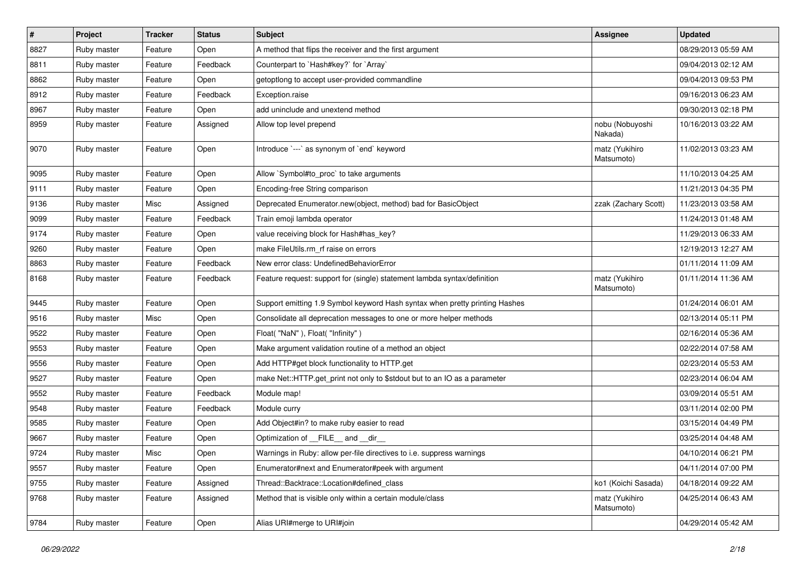| $\vert$ # | <b>Project</b> | <b>Tracker</b> | <b>Status</b> | Subject                                                                     | <b>Assignee</b>              | <b>Updated</b>      |
|-----------|----------------|----------------|---------------|-----------------------------------------------------------------------------|------------------------------|---------------------|
| 8827      | Ruby master    | Feature        | Open          | A method that flips the receiver and the first argument                     |                              | 08/29/2013 05:59 AM |
| 8811      | Ruby master    | Feature        | Feedback      | Counterpart to `Hash#key?` for `Array`                                      |                              | 09/04/2013 02:12 AM |
| 8862      | Ruby master    | Feature        | Open          | getoptlong to accept user-provided commandline                              |                              | 09/04/2013 09:53 PM |
| 8912      | Ruby master    | Feature        | Feedback      | Exception.raise                                                             |                              | 09/16/2013 06:23 AM |
| 8967      | Ruby master    | Feature        | Open          | add uninclude and unextend method                                           |                              | 09/30/2013 02:18 PM |
| 8959      | Ruby master    | Feature        | Assigned      | Allow top level prepend                                                     | nobu (Nobuyoshi<br>Nakada)   | 10/16/2013 03:22 AM |
| 9070      | Ruby master    | Feature        | Open          | Introduce `---` as synonym of `end` keyword                                 | matz (Yukihiro<br>Matsumoto) | 11/02/2013 03:23 AM |
| 9095      | Ruby master    | Feature        | Open          | Allow `Symbol#to_proc` to take arguments                                    |                              | 11/10/2013 04:25 AM |
| 9111      | Ruby master    | Feature        | Open          | Encoding-free String comparison                                             |                              | 11/21/2013 04:35 PM |
| 9136      | Ruby master    | Misc           | Assigned      | Deprecated Enumerator.new(object, method) bad for BasicObject               | zzak (Zachary Scott)         | 11/23/2013 03:58 AM |
| 9099      | Ruby master    | Feature        | Feedback      | Train emoji lambda operator                                                 |                              | 11/24/2013 01:48 AM |
| 9174      | Ruby master    | Feature        | Open          | value receiving block for Hash#has_key?                                     |                              | 11/29/2013 06:33 AM |
| 9260      | Ruby master    | Feature        | Open          | make FileUtils.rm_rf raise on errors                                        |                              | 12/19/2013 12:27 AM |
| 8863      | Ruby master    | Feature        | Feedback      | New error class: UndefinedBehaviorError                                     |                              | 01/11/2014 11:09 AM |
| 8168      | Ruby master    | Feature        | Feedback      | Feature request: support for (single) statement lambda syntax/definition    | matz (Yukihiro<br>Matsumoto) | 01/11/2014 11:36 AM |
| 9445      | Ruby master    | Feature        | Open          | Support emitting 1.9 Symbol keyword Hash syntax when pretty printing Hashes |                              | 01/24/2014 06:01 AM |
| 9516      | Ruby master    | Misc           | Open          | Consolidate all deprecation messages to one or more helper methods          |                              | 02/13/2014 05:11 PM |
| 9522      | Ruby master    | Feature        | Open          | Float("NaN"), Float("Infinity")                                             |                              | 02/16/2014 05:36 AM |
| 9553      | Ruby master    | Feature        | Open          | Make argument validation routine of a method an object                      |                              | 02/22/2014 07:58 AM |
| 9556      | Ruby master    | Feature        | Open          | Add HTTP#get block functionality to HTTP.get                                |                              | 02/23/2014 05:53 AM |
| 9527      | Ruby master    | Feature        | Open          | make Net::HTTP.get_print not only to \$stdout but to an IO as a parameter   |                              | 02/23/2014 06:04 AM |
| 9552      | Ruby master    | Feature        | Feedback      | Module map!                                                                 |                              | 03/09/2014 05:51 AM |
| 9548      | Ruby master    | Feature        | Feedback      | Module curry                                                                |                              | 03/11/2014 02:00 PM |
| 9585      | Ruby master    | Feature        | Open          | Add Object#in? to make ruby easier to read                                  |                              | 03/15/2014 04:49 PM |
| 9667      | Ruby master    | Feature        | Open          | Optimization of __FILE__ and __dir_                                         |                              | 03/25/2014 04:48 AM |
| 9724      | Ruby master    | Misc           | Open          | Warnings in Ruby: allow per-file directives to i.e. suppress warnings       |                              | 04/10/2014 06:21 PM |
| 9557      | Ruby master    | Feature        | Open          | Enumerator#next and Enumerator#peek with argument                           |                              | 04/11/2014 07:00 PM |
| 9755      | Ruby master    | Feature        | Assigned      | Thread::Backtrace::Location#defined_class                                   | ko1 (Koichi Sasada)          | 04/18/2014 09:22 AM |
| 9768      | Ruby master    | Feature        | Assigned      | Method that is visible only within a certain module/class                   | matz (Yukihiro<br>Matsumoto) | 04/25/2014 06:43 AM |
| 9784      | Ruby master    | Feature        | Open          | Alias URI#merge to URI#join                                                 |                              | 04/29/2014 05:42 AM |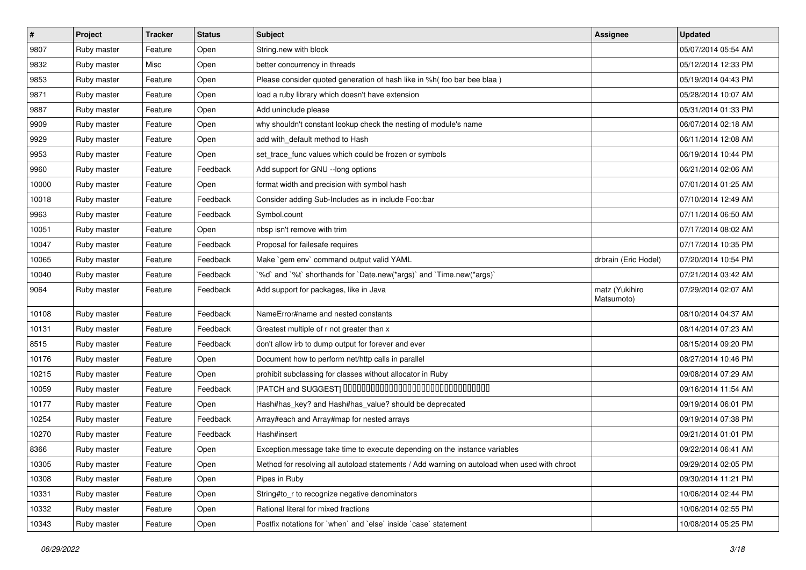| $\vert$ # | Project     | <b>Tracker</b> | <b>Status</b> | <b>Subject</b>                                                                               | <b>Assignee</b>              | <b>Updated</b>      |
|-----------|-------------|----------------|---------------|----------------------------------------------------------------------------------------------|------------------------------|---------------------|
| 9807      | Ruby master | Feature        | Open          | String.new with block                                                                        |                              | 05/07/2014 05:54 AM |
| 9832      | Ruby master | Misc           | Open          | better concurrency in threads                                                                |                              | 05/12/2014 12:33 PM |
| 9853      | Ruby master | Feature        | Open          | Please consider quoted generation of hash like in %h( foo bar bee blaa)                      |                              | 05/19/2014 04:43 PM |
| 9871      | Ruby master | Feature        | Open          | load a ruby library which doesn't have extension                                             |                              | 05/28/2014 10:07 AM |
| 9887      | Ruby master | Feature        | Open          | Add uninclude please                                                                         |                              | 05/31/2014 01:33 PM |
| 9909      | Ruby master | Feature        | Open          | why shouldn't constant lookup check the nesting of module's name                             |                              | 06/07/2014 02:18 AM |
| 9929      | Ruby master | Feature        | Open          | add with_default method to Hash                                                              |                              | 06/11/2014 12:08 AM |
| 9953      | Ruby master | Feature        | Open          | set_trace_func values which could be frozen or symbols                                       |                              | 06/19/2014 10:44 PM |
| 9960      | Ruby master | Feature        | Feedback      | Add support for GNU --long options                                                           |                              | 06/21/2014 02:06 AM |
| 10000     | Ruby master | Feature        | Open          | format width and precision with symbol hash                                                  |                              | 07/01/2014 01:25 AM |
| 10018     | Ruby master | Feature        | Feedback      | Consider adding Sub-Includes as in include Foo::bar                                          |                              | 07/10/2014 12:49 AM |
| 9963      | Ruby master | Feature        | Feedback      | Symbol.count                                                                                 |                              | 07/11/2014 06:50 AM |
| 10051     | Ruby master | Feature        | Open          | nbsp isn't remove with trim                                                                  |                              | 07/17/2014 08:02 AM |
| 10047     | Ruby master | Feature        | Feedback      | Proposal for failesafe requires                                                              |                              | 07/17/2014 10:35 PM |
| 10065     | Ruby master | Feature        | Feedback      | Make `gem env` command output valid YAML                                                     | drbrain (Eric Hodel)         | 07/20/2014 10:54 PM |
| 10040     | Ruby master | Feature        | Feedback      | '%d' and '%t' shorthands for 'Date.new(*args)' and 'Time.new(*args)'                         |                              | 07/21/2014 03:42 AM |
| 9064      | Ruby master | Feature        | Feedback      | Add support for packages, like in Java                                                       | matz (Yukihiro<br>Matsumoto) | 07/29/2014 02:07 AM |
| 10108     | Ruby master | Feature        | Feedback      | NameError#name and nested constants                                                          |                              | 08/10/2014 04:37 AM |
| 10131     | Ruby master | Feature        | Feedback      | Greatest multiple of r not greater than x                                                    |                              | 08/14/2014 07:23 AM |
| 8515      | Ruby master | Feature        | Feedback      | don't allow irb to dump output for forever and ever                                          |                              | 08/15/2014 09:20 PM |
| 10176     | Ruby master | Feature        | Open          | Document how to perform net/http calls in parallel                                           |                              | 08/27/2014 10:46 PM |
| 10215     | Ruby master | Feature        | Open          | prohibit subclassing for classes without allocator in Ruby                                   |                              | 09/08/2014 07:29 AM |
| 10059     | Ruby master | Feature        | Feedback      | [PATCH and SUGGEST] 0000000000000000000000000000000                                          |                              | 09/16/2014 11:54 AM |
| 10177     | Ruby master | Feature        | Open          | Hash#has_key? and Hash#has_value? should be deprecated                                       |                              | 09/19/2014 06:01 PM |
| 10254     | Ruby master | Feature        | Feedback      | Array#each and Array#map for nested arrays                                                   |                              | 09/19/2014 07:38 PM |
| 10270     | Ruby master | Feature        | Feedback      | Hash#insert                                                                                  |                              | 09/21/2014 01:01 PM |
| 8366      | Ruby master | Feature        | Open          | Exception message take time to execute depending on the instance variables                   |                              | 09/22/2014 06:41 AM |
| 10305     | Ruby master | Feature        | Open          | Method for resolving all autoload statements / Add warning on autoload when used with chroot |                              | 09/29/2014 02:05 PM |
| 10308     | Ruby master | Feature        | Open          | Pipes in Ruby                                                                                |                              | 09/30/2014 11:21 PM |
| 10331     | Ruby master | Feature        | Open          | String#to_r to recognize negative denominators                                               |                              | 10/06/2014 02:44 PM |
| 10332     | Ruby master | Feature        | Open          | Rational literal for mixed fractions                                                         |                              | 10/06/2014 02:55 PM |
| 10343     | Ruby master | Feature        | Open          | Postfix notations for 'when' and 'else' inside 'case' statement                              |                              | 10/08/2014 05:25 PM |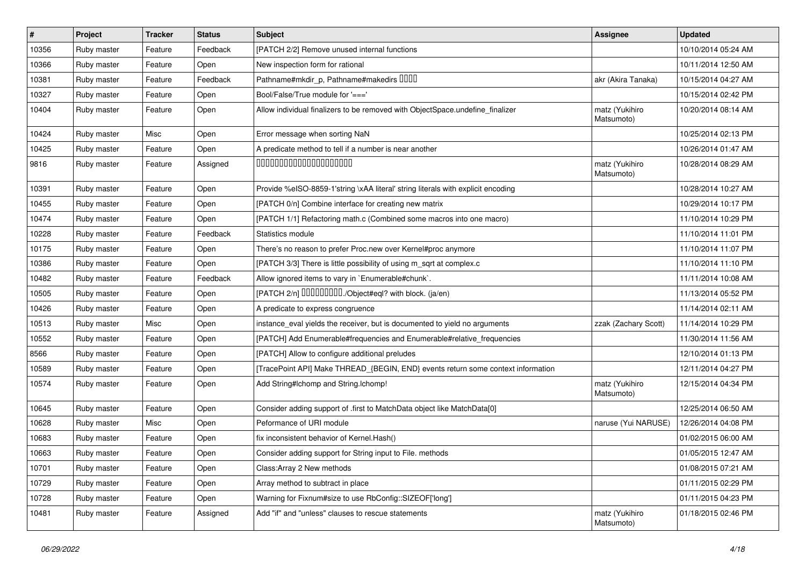| #     | Project     | <b>Tracker</b> | <b>Status</b> | <b>Subject</b>                                                                   | <b>Assignee</b>              | <b>Updated</b>      |
|-------|-------------|----------------|---------------|----------------------------------------------------------------------------------|------------------------------|---------------------|
| 10356 | Ruby master | Feature        | Feedback      | [PATCH 2/2] Remove unused internal functions                                     |                              | 10/10/2014 05:24 AM |
| 10366 | Ruby master | Feature        | Open          | New inspection form for rational                                                 |                              | 10/11/2014 12:50 AM |
| 10381 | Ruby master | Feature        | Feedback      | Pathname#mkdir_p, Pathname#makedirs DDDD                                         | akr (Akira Tanaka)           | 10/15/2014 04:27 AM |
| 10327 | Ruby master | Feature        | Open          | Bool/False/True module for '==='                                                 |                              | 10/15/2014 02:42 PM |
| 10404 | Ruby master | Feature        | Open          | Allow individual finalizers to be removed with ObjectSpace.undefine_finalizer    | matz (Yukihiro<br>Matsumoto) | 10/20/2014 08:14 AM |
| 10424 | Ruby master | Misc           | Open          | Error message when sorting NaN                                                   |                              | 10/25/2014 02:13 PM |
| 10425 | Ruby master | Feature        | Open          | A predicate method to tell if a number is near another                           |                              | 10/26/2014 01:47 AM |
| 9816  | Ruby master | Feature        | Assigned      | 00000000000000000000                                                             | matz (Yukihiro<br>Matsumoto) | 10/28/2014 08:29 AM |
| 10391 | Ruby master | Feature        | Open          | Provide %eISO-8859-1'string \xAA literal' string literals with explicit encoding |                              | 10/28/2014 10:27 AM |
| 10455 | Ruby master | Feature        | Open          | [PATCH 0/n] Combine interface for creating new matrix                            |                              | 10/29/2014 10:17 PM |
| 10474 | Ruby master | Feature        | Open          | [PATCH 1/1] Refactoring math.c (Combined some macros into one macro)             |                              | 11/10/2014 10:29 PM |
| 10228 | Ruby master | Feature        | Feedback      | Statistics module                                                                |                              | 11/10/2014 11:01 PM |
| 10175 | Ruby master | Feature        | Open          | There's no reason to prefer Proc.new over Kernel#proc anymore                    |                              | 11/10/2014 11:07 PM |
| 10386 | Ruby master | Feature        | Open          | [PATCH 3/3] There is little possibility of using m_sqrt at complex.c             |                              | 11/10/2014 11:10 PM |
| 10482 | Ruby master | Feature        | Feedback      | Allow ignored items to vary in `Enumerable#chunk`.                               |                              | 11/11/2014 10:08 AM |
| 10505 | Ruby master | Feature        | Open          | [PATCH 2/n] DDDDDDDD./Object#eql? with block. (ja/en)                            |                              | 11/13/2014 05:52 PM |
| 10426 | Ruby master | Feature        | Open          | A predicate to express congruence                                                |                              | 11/14/2014 02:11 AM |
| 10513 | Ruby master | Misc           | Open          | instance_eval yields the receiver, but is documented to yield no arguments       | zzak (Zachary Scott)         | 11/14/2014 10:29 PM |
| 10552 | Ruby master | Feature        | Open          | [PATCH] Add Enumerable#frequencies and Enumerable#relative_frequencies           |                              | 11/30/2014 11:56 AM |
| 8566  | Ruby master | Feature        | Open          | [PATCH] Allow to configure additional preludes                                   |                              | 12/10/2014 01:13 PM |
| 10589 | Ruby master | Feature        | Open          | [TracePoint API] Make THREAD_{BEGIN, END} events return some context information |                              | 12/11/2014 04:27 PM |
| 10574 | Ruby master | Feature        | Open          | Add String#Ichomp and String.Ichomp!                                             | matz (Yukihiro<br>Matsumoto) | 12/15/2014 04:34 PM |
| 10645 | Ruby master | Feature        | Open          | Consider adding support of .first to MatchData object like MatchData[0]          |                              | 12/25/2014 06:50 AM |
| 10628 | Ruby master | Misc           | Open          | Peformance of URI module                                                         | naruse (Yui NARUSE)          | 12/26/2014 04:08 PM |
| 10683 | Ruby master | Feature        | Open          | fix inconsistent behavior of Kernel. Hash()                                      |                              | 01/02/2015 06:00 AM |
| 10663 | Ruby master | Feature        | Open          | Consider adding support for String input to File. methods                        |                              | 01/05/2015 12:47 AM |
| 10701 | Ruby master | Feature        | Open          | Class: Array 2 New methods                                                       |                              | 01/08/2015 07:21 AM |
| 10729 | Ruby master | Feature        | Open          | Array method to subtract in place                                                |                              | 01/11/2015 02:29 PM |
| 10728 | Ruby master | Feature        | Open          | Warning for Fixnum#size to use RbConfig::SIZEOF['long']                          |                              | 01/11/2015 04:23 PM |
| 10481 | Ruby master | Feature        | Assigned      | Add "if" and "unless" clauses to rescue statements                               | matz (Yukihiro<br>Matsumoto) | 01/18/2015 02:46 PM |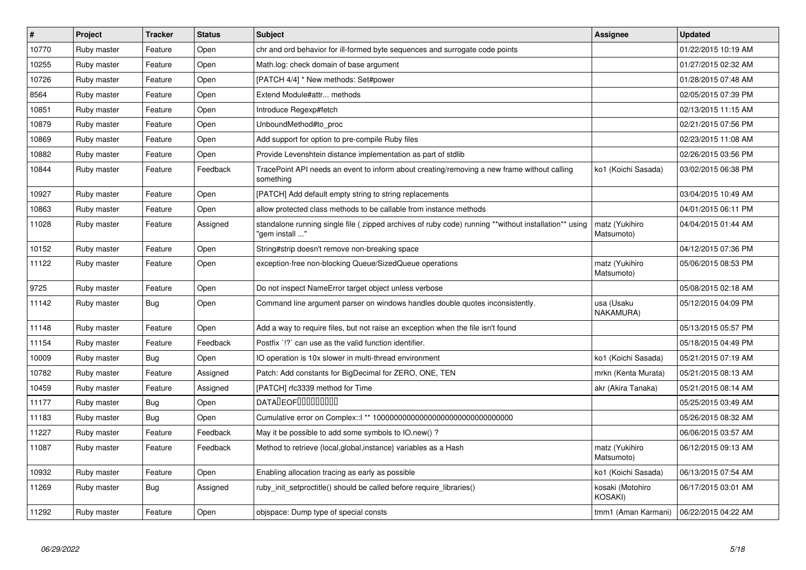| $\pmb{\#}$ | <b>Project</b> | <b>Tracker</b> | <b>Status</b> | <b>Subject</b>                                                                                                          | Assignee                                  | <b>Updated</b>      |
|------------|----------------|----------------|---------------|-------------------------------------------------------------------------------------------------------------------------|-------------------------------------------|---------------------|
| 10770      | Ruby master    | Feature        | Open          | chr and ord behavior for ill-formed byte sequences and surrogate code points                                            |                                           | 01/22/2015 10:19 AM |
| 10255      | Ruby master    | Feature        | Open          | Math.log: check domain of base argument                                                                                 |                                           | 01/27/2015 02:32 AM |
| 10726      | Ruby master    | Feature        | Open          | [PATCH 4/4] * New methods: Set#power                                                                                    |                                           | 01/28/2015 07:48 AM |
| 8564       | Ruby master    | Feature        | Open          | Extend Module#attr methods                                                                                              |                                           | 02/05/2015 07:39 PM |
| 10851      | Ruby master    | Feature        | Open          | Introduce Regexp#fetch                                                                                                  |                                           | 02/13/2015 11:15 AM |
| 10879      | Ruby master    | Feature        | Open          | UnboundMethod#to_proc                                                                                                   |                                           | 02/21/2015 07:56 PM |
| 10869      | Ruby master    | Feature        | Open          | Add support for option to pre-compile Ruby files                                                                        |                                           | 02/23/2015 11:08 AM |
| 10882      | Ruby master    | Feature        | Open          | Provide Levenshtein distance implementation as part of stdlib                                                           |                                           | 02/26/2015 03:56 PM |
| 10844      | Ruby master    | Feature        | Feedback      | TracePoint API needs an event to inform about creating/removing a new frame without calling<br>something                | ko1 (Koichi Sasada)                       | 03/02/2015 06:38 PM |
| 10927      | Ruby master    | Feature        | Open          | [PATCH] Add default empty string to string replacements                                                                 |                                           | 03/04/2015 10:49 AM |
| 10863      | Ruby master    | Feature        | Open          | allow protected class methods to be callable from instance methods                                                      |                                           | 04/01/2015 06:11 PM |
| 11028      | Ruby master    | Feature        | Assigned      | standalone running single file ( zipped archives of ruby code) running **without installation** using<br>" gem install" | matz (Yukihiro<br>Matsumoto)              | 04/04/2015 01:44 AM |
| 10152      | Ruby master    | Feature        | Open          | String#strip doesn't remove non-breaking space                                                                          |                                           | 04/12/2015 07:36 PM |
| 11122      | Ruby master    | Feature        | Open          | exception-free non-blocking Queue/SizedQueue operations                                                                 | matz (Yukihiro<br>Matsumoto)              | 05/06/2015 08:53 PM |
| 9725       | Ruby master    | Feature        | Open          | Do not inspect NameError target object unless verbose                                                                   |                                           | 05/08/2015 02:18 AM |
| 11142      | Ruby master    | <b>Bug</b>     | Open          | Command line argument parser on windows handles double quotes inconsistently.                                           | usa (Usaku<br>NAKAMURA)                   | 05/12/2015 04:09 PM |
| 11148      | Ruby master    | Feature        | Open          | Add a way to require files, but not raise an exception when the file isn't found                                        |                                           | 05/13/2015 05:57 PM |
| 11154      | Ruby master    | Feature        | Feedback      | Postfix '!?' can use as the valid function identifier.                                                                  |                                           | 05/18/2015 04:49 PM |
| 10009      | Ruby master    | <b>Bug</b>     | Open          | IO operation is 10x slower in multi-thread environment                                                                  | ko1 (Koichi Sasada)                       | 05/21/2015 07:19 AM |
| 10782      | Ruby master    | Feature        | Assigned      | Patch: Add constants for BigDecimal for ZERO, ONE, TEN                                                                  | mrkn (Kenta Murata)                       | 05/21/2015 08:13 AM |
| 10459      | Ruby master    | Feature        | Assigned      | [PATCH] rfc3339 method for Time                                                                                         | akr (Akira Tanaka)                        | 05/21/2015 08:14 AM |
| 11177      | Ruby master    | <b>Bug</b>     | Open          | <b>DATADEOFOOOOOOOO</b>                                                                                                 |                                           | 05/25/2015 03:49 AM |
| 11183      | Ruby master    | Bug            | Open          |                                                                                                                         |                                           | 05/26/2015 08:32 AM |
| 11227      | Ruby master    | Feature        | Feedback      | May it be possible to add some symbols to IO.new()?                                                                     |                                           | 06/06/2015 03:57 AM |
| 11087      | Ruby master    | Feature        | Feedback      | Method to retrieve {local, global, instance} variables as a Hash                                                        | matz (Yukihiro<br>Matsumoto)              | 06/12/2015 09:13 AM |
| 10932      | Ruby master    | Feature        | Open          | Enabling allocation tracing as early as possible                                                                        | ko1 (Koichi Sasada)                       | 06/13/2015 07:54 AM |
| 11269      | Ruby master    | Bug            | Assigned      | ruby init setproctitle() should be called before require libraries()                                                    | kosaki (Motohiro<br>KOSAKI)               | 06/17/2015 03:01 AM |
| 11292      | Ruby master    | Feature        | Open          | objspace: Dump type of special consts                                                                                   | tmm1 (Aman Karmani)   06/22/2015 04:22 AM |                     |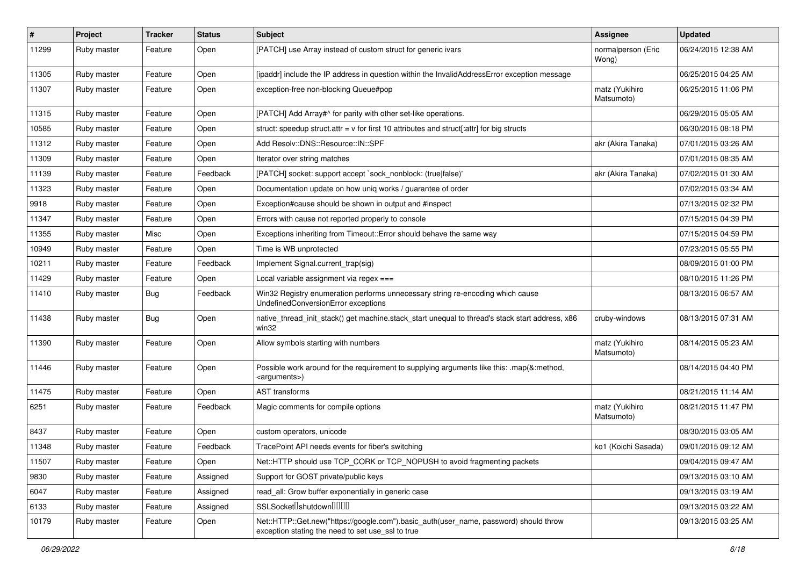| $\pmb{\#}$ | Project     | <b>Tracker</b> | <b>Status</b> | <b>Subject</b>                                                                                                                             | <b>Assignee</b>              | <b>Updated</b>      |
|------------|-------------|----------------|---------------|--------------------------------------------------------------------------------------------------------------------------------------------|------------------------------|---------------------|
| 11299      | Ruby master | Feature        | Open          | [PATCH] use Array instead of custom struct for generic ivars                                                                               | normalperson (Eric<br>Wong)  | 06/24/2015 12:38 AM |
| 11305      | Ruby master | Feature        | Open          | [ipaddr] include the IP address in question within the InvalidAddressError exception message                                               |                              | 06/25/2015 04:25 AM |
| 11307      | Ruby master | Feature        | Open          | exception-free non-blocking Queue#pop                                                                                                      | matz (Yukihiro<br>Matsumoto) | 06/25/2015 11:06 PM |
| 11315      | Ruby master | Feature        | Open          | [PATCH] Add Array#^ for parity with other set-like operations.                                                                             |                              | 06/29/2015 05:05 AM |
| 10585      | Ruby master | Feature        | Open          | struct: speedup struct.attr = v for first 10 attributes and struct[:attr] for big structs                                                  |                              | 06/30/2015 08:18 PM |
| 11312      | Ruby master | Feature        | Open          | Add Resolv::DNS::Resource::IN::SPF                                                                                                         | akr (Akira Tanaka)           | 07/01/2015 03:26 AM |
| 11309      | Ruby master | Feature        | Open          | Iterator over string matches                                                                                                               |                              | 07/01/2015 08:35 AM |
| 11139      | Ruby master | Feature        | Feedback      | [PATCH] socket: support accept `sock_nonblock: (true false)'                                                                               | akr (Akira Tanaka)           | 07/02/2015 01:30 AM |
| 11323      | Ruby master | Feature        | Open          | Documentation update on how uniq works / guarantee of order                                                                                |                              | 07/02/2015 03:34 AM |
| 9918       | Ruby master | Feature        | Open          | Exception#cause should be shown in output and #inspect                                                                                     |                              | 07/13/2015 02:32 PM |
| 11347      | Ruby master | Feature        | Open          | Errors with cause not reported properly to console                                                                                         |                              | 07/15/2015 04:39 PM |
| 11355      | Ruby master | Misc           | Open          | Exceptions inheriting from Timeout:: Error should behave the same way                                                                      |                              | 07/15/2015 04:59 PM |
| 10949      | Ruby master | Feature        | Open          | Time is WB unprotected                                                                                                                     |                              | 07/23/2015 05:55 PM |
| 10211      | Ruby master | Feature        | Feedback      | Implement Signal.current_trap(sig)                                                                                                         |                              | 08/09/2015 01:00 PM |
| 11429      | Ruby master | Feature        | Open          | Local variable assignment via regex ===                                                                                                    |                              | 08/10/2015 11:26 PM |
| 11410      | Ruby master | <b>Bug</b>     | Feedback      | Win32 Registry enumeration performs unnecessary string re-encoding which cause<br>UndefinedConversionError exceptions                      |                              | 08/13/2015 06:57 AM |
| 11438      | Ruby master | <b>Bug</b>     | Open          | native_thread_init_stack() get machine.stack_start unequal to thread's stack start address, x86<br>win32                                   | cruby-windows                | 08/13/2015 07:31 AM |
| 11390      | Ruby master | Feature        | Open          | Allow symbols starting with numbers                                                                                                        | matz (Yukihiro<br>Matsumoto) | 08/14/2015 05:23 AM |
| 11446      | Ruby master | Feature        | Open          | Possible work around for the requirement to supplying arguments like this: .map(&:method,<br><arguments>)</arguments>                      |                              | 08/14/2015 04:40 PM |
| 11475      | Ruby master | Feature        | Open          | <b>AST</b> transforms                                                                                                                      |                              | 08/21/2015 11:14 AM |
| 6251       | Ruby master | Feature        | Feedback      | Magic comments for compile options                                                                                                         | matz (Yukihiro<br>Matsumoto) | 08/21/2015 11:47 PM |
| 8437       | Ruby master | Feature        | Open          | custom operators, unicode                                                                                                                  |                              | 08/30/2015 03:05 AM |
| 11348      | Ruby master | Feature        | Feedback      | TracePoint API needs events for fiber's switching                                                                                          | ko1 (Koichi Sasada)          | 09/01/2015 09:12 AM |
| 11507      | Ruby master | Feature        | Open          | Net::HTTP should use TCP_CORK or TCP_NOPUSH to avoid fragmenting packets                                                                   |                              | 09/04/2015 09:47 AM |
| 9830       | Ruby master | Feature        | Assigned      | Support for GOST private/public keys                                                                                                       |                              | 09/13/2015 03:10 AM |
| 6047       | Ruby master | Feature        | Assigned      | read_all: Grow buffer exponentially in generic case                                                                                        |                              | 09/13/2015 03:19 AM |
| 6133       | Ruby master | Feature        | Assigned      | SSLSocket <sup>[</sup> shutdown <sup>[11]</sup>                                                                                            |                              | 09/13/2015 03:22 AM |
| 10179      | Ruby master | Feature        | Open          | Net::HTTP::Get.new("https://google.com").basic_auth(user_name, password) should throw<br>exception stating the need to set use_ssl to true |                              | 09/13/2015 03:25 AM |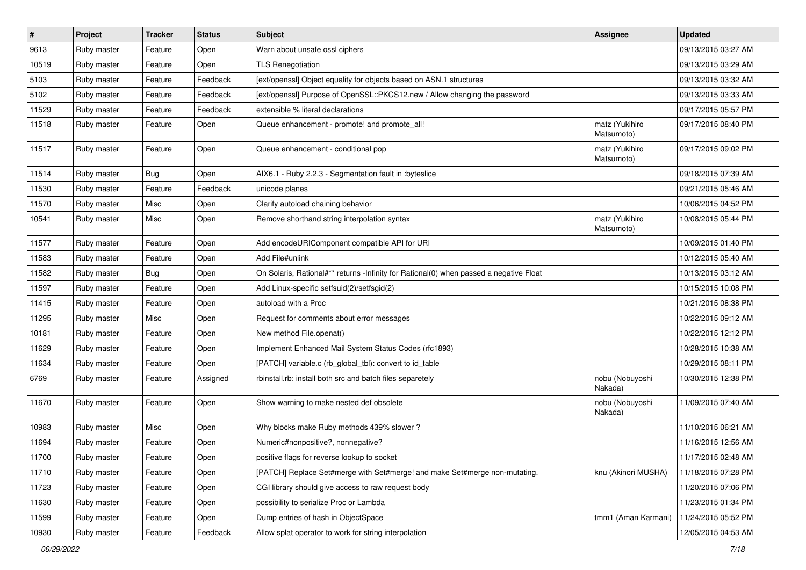| $\sharp$ | Project     | <b>Tracker</b> | <b>Status</b> | Subject                                                                                | <b>Assignee</b>              | <b>Updated</b>      |
|----------|-------------|----------------|---------------|----------------------------------------------------------------------------------------|------------------------------|---------------------|
| 9613     | Ruby master | Feature        | Open          | Warn about unsafe ossl ciphers                                                         |                              | 09/13/2015 03:27 AM |
| 10519    | Ruby master | Feature        | Open          | <b>TLS Renegotiation</b>                                                               |                              | 09/13/2015 03:29 AM |
| 5103     | Ruby master | Feature        | Feedback      | [ext/openssl] Object equality for objects based on ASN.1 structures                    |                              | 09/13/2015 03:32 AM |
| 5102     | Ruby master | Feature        | Feedback      | [ext/openssl] Purpose of OpenSSL::PKCS12.new / Allow changing the password             |                              | 09/13/2015 03:33 AM |
| 11529    | Ruby master | Feature        | Feedback      | extensible % literal declarations                                                      |                              | 09/17/2015 05:57 PM |
| 11518    | Ruby master | Feature        | Open          | Queue enhancement - promote! and promote_all!                                          | matz (Yukihiro<br>Matsumoto) | 09/17/2015 08:40 PM |
| 11517    | Ruby master | Feature        | Open          | Queue enhancement - conditional pop                                                    | matz (Yukihiro<br>Matsumoto) | 09/17/2015 09:02 PM |
| 11514    | Ruby master | <b>Bug</b>     | Open          | AIX6.1 - Ruby 2.2.3 - Segmentation fault in : byteslice                                |                              | 09/18/2015 07:39 AM |
| 11530    | Ruby master | Feature        | Feedback      | unicode planes                                                                         |                              | 09/21/2015 05:46 AM |
| 11570    | Ruby master | Misc           | Open          | Clarify autoload chaining behavior                                                     |                              | 10/06/2015 04:52 PM |
| 10541    | Ruby master | Misc           | Open          | Remove shorthand string interpolation syntax                                           | matz (Yukihiro<br>Matsumoto) | 10/08/2015 05:44 PM |
| 11577    | Ruby master | Feature        | Open          | Add encodeURIComponent compatible API for URI                                          |                              | 10/09/2015 01:40 PM |
| 11583    | Ruby master | Feature        | Open          | Add File#unlink                                                                        |                              | 10/12/2015 05:40 AM |
| 11582    | Ruby master | <b>Bug</b>     | Open          | On Solaris, Rational#** returns -Infinity for Rational(0) when passed a negative Float |                              | 10/13/2015 03:12 AM |
| 11597    | Ruby master | Feature        | Open          | Add Linux-specific setfsuid(2)/setfsgid(2)                                             |                              | 10/15/2015 10:08 PM |
| 11415    | Ruby master | Feature        | Open          | autoload with a Proc                                                                   |                              | 10/21/2015 08:38 PM |
| 11295    | Ruby master | Misc           | Open          | Request for comments about error messages                                              |                              | 10/22/2015 09:12 AM |
| 10181    | Ruby master | Feature        | Open          | New method File.openat()                                                               |                              | 10/22/2015 12:12 PM |
| 11629    | Ruby master | Feature        | Open          | Implement Enhanced Mail System Status Codes (rfc1893)                                  |                              | 10/28/2015 10:38 AM |
| 11634    | Ruby master | Feature        | Open          | [PATCH] variable.c (rb_global_tbl): convert to id_table                                |                              | 10/29/2015 08:11 PM |
| 6769     | Ruby master | Feature        | Assigned      | rbinstall.rb: install both src and batch files separetely                              | nobu (Nobuyoshi<br>Nakada)   | 10/30/2015 12:38 PM |
| 11670    | Ruby master | Feature        | Open          | Show warning to make nested def obsolete                                               | nobu (Nobuyoshi<br>Nakada)   | 11/09/2015 07:40 AM |
| 10983    | Ruby master | Misc           | Open          | Why blocks make Ruby methods 439% slower?                                              |                              | 11/10/2015 06:21 AM |
| 11694    | Ruby master | Feature        | Open          | Numeric#nonpositive?, nonnegative?                                                     |                              | 11/16/2015 12:56 AM |
| 11700    | Ruby master | Feature        | Open          | positive flags for reverse lookup to socket                                            |                              | 11/17/2015 02:48 AM |
| 11710    | Ruby master | Feature        | Open          | [PATCH] Replace Set#merge with Set#merge! and make Set#merge non-mutating.             | knu (Akinori MUSHA)          | 11/18/2015 07:28 PM |
| 11723    | Ruby master | Feature        | Open          | CGI library should give access to raw request body                                     |                              | 11/20/2015 07:06 PM |
| 11630    | Ruby master | Feature        | Open          | possibility to serialize Proc or Lambda                                                |                              | 11/23/2015 01:34 PM |
| 11599    | Ruby master | Feature        | Open          | Dump entries of hash in ObjectSpace                                                    | tmm1 (Aman Karmani)          | 11/24/2015 05:52 PM |
| 10930    | Ruby master | Feature        | Feedback      | Allow splat operator to work for string interpolation                                  |                              | 12/05/2015 04:53 AM |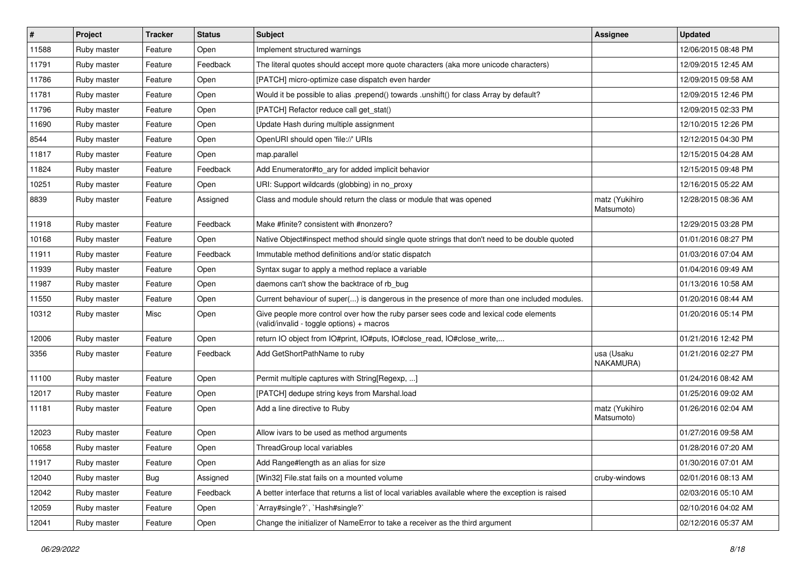| #     | Project     | <b>Tracker</b> | <b>Status</b> | <b>Subject</b>                                                                                                                     | <b>Assignee</b>              | <b>Updated</b>      |
|-------|-------------|----------------|---------------|------------------------------------------------------------------------------------------------------------------------------------|------------------------------|---------------------|
| 11588 | Ruby master | Feature        | Open          | Implement structured warnings                                                                                                      |                              | 12/06/2015 08:48 PM |
| 11791 | Ruby master | Feature        | Feedback      | The literal quotes should accept more quote characters (aka more unicode characters)                                               |                              | 12/09/2015 12:45 AM |
| 11786 | Ruby master | Feature        | Open          | [PATCH] micro-optimize case dispatch even harder                                                                                   |                              | 12/09/2015 09:58 AM |
| 11781 | Ruby master | Feature        | Open          | Would it be possible to alias .prepend() towards .unshift() for class Array by default?                                            |                              | 12/09/2015 12:46 PM |
| 11796 | Ruby master | Feature        | Open          | [PATCH] Refactor reduce call get_stat()                                                                                            |                              | 12/09/2015 02:33 PM |
| 11690 | Ruby master | Feature        | Open          | Update Hash during multiple assignment                                                                                             |                              | 12/10/2015 12:26 PM |
| 8544  | Ruby master | Feature        | Open          | OpenURI should open 'file://' URIs                                                                                                 |                              | 12/12/2015 04:30 PM |
| 11817 | Ruby master | Feature        | Open          | map.parallel                                                                                                                       |                              | 12/15/2015 04:28 AM |
| 11824 | Ruby master | Feature        | Feedback      | Add Enumerator#to_ary for added implicit behavior                                                                                  |                              | 12/15/2015 09:48 PM |
| 10251 | Ruby master | Feature        | Open          | URI: Support wildcards (globbing) in no_proxy                                                                                      |                              | 12/16/2015 05:22 AM |
| 8839  | Ruby master | Feature        | Assigned      | Class and module should return the class or module that was opened                                                                 | matz (Yukihiro<br>Matsumoto) | 12/28/2015 08:36 AM |
| 11918 | Ruby master | Feature        | Feedback      | Make #finite? consistent with #nonzero?                                                                                            |                              | 12/29/2015 03:28 PM |
| 10168 | Ruby master | Feature        | Open          | Native Object#inspect method should single quote strings that don't need to be double quoted                                       |                              | 01/01/2016 08:27 PM |
| 11911 | Ruby master | Feature        | Feedback      | Immutable method definitions and/or static dispatch                                                                                |                              | 01/03/2016 07:04 AM |
| 11939 | Ruby master | Feature        | Open          | Syntax sugar to apply a method replace a variable                                                                                  |                              | 01/04/2016 09:49 AM |
| 11987 | Ruby master | Feature        | Open          | daemons can't show the backtrace of rb_bug                                                                                         |                              | 01/13/2016 10:58 AM |
| 11550 | Ruby master | Feature        | Open          | Current behaviour of super() is dangerous in the presence of more than one included modules.                                       |                              | 01/20/2016 08:44 AM |
| 10312 | Ruby master | Misc           | Open          | Give people more control over how the ruby parser sees code and lexical code elements<br>(valid/invalid - toggle options) + macros |                              | 01/20/2016 05:14 PM |
| 12006 | Ruby master | Feature        | Open          | return IO object from IO#print, IO#puts, IO#close_read, IO#close_write,                                                            |                              | 01/21/2016 12:42 PM |
| 3356  | Ruby master | Feature        | Feedback      | Add GetShortPathName to ruby                                                                                                       | usa (Usaku<br>NAKAMURA)      | 01/21/2016 02:27 PM |
| 11100 | Ruby master | Feature        | Open          | Permit multiple captures with String[Regexp, ]                                                                                     |                              | 01/24/2016 08:42 AM |
| 12017 | Ruby master | Feature        | Open          | [PATCH] dedupe string keys from Marshal.load                                                                                       |                              | 01/25/2016 09:02 AM |
| 11181 | Ruby master | Feature        | Open          | Add a line directive to Ruby                                                                                                       | matz (Yukihiro<br>Matsumoto) | 01/26/2016 02:04 AM |
| 12023 | Ruby master | Feature        | Open          | Allow ivars to be used as method arguments                                                                                         |                              | 01/27/2016 09:58 AM |
| 10658 | Ruby master | Feature        | Open          | ThreadGroup local variables                                                                                                        |                              | 01/28/2016 07:20 AM |
| 11917 | Ruby master | Feature        | Open          | Add Range#length as an alias for size                                                                                              |                              | 01/30/2016 07:01 AM |
| 12040 | Ruby master | <b>Bug</b>     | Assigned      | [Win32] File.stat fails on a mounted volume                                                                                        | cruby-windows                | 02/01/2016 08:13 AM |
| 12042 | Ruby master | Feature        | Feedback      | A better interface that returns a list of local variables available where the exception is raised                                  |                              | 02/03/2016 05:10 AM |
| 12059 | Ruby master | Feature        | Open          | `Array#single?`, `Hash#single?`                                                                                                    |                              | 02/10/2016 04:02 AM |
| 12041 | Ruby master | Feature        | Open          | Change the initializer of NameError to take a receiver as the third argument                                                       |                              | 02/12/2016 05:37 AM |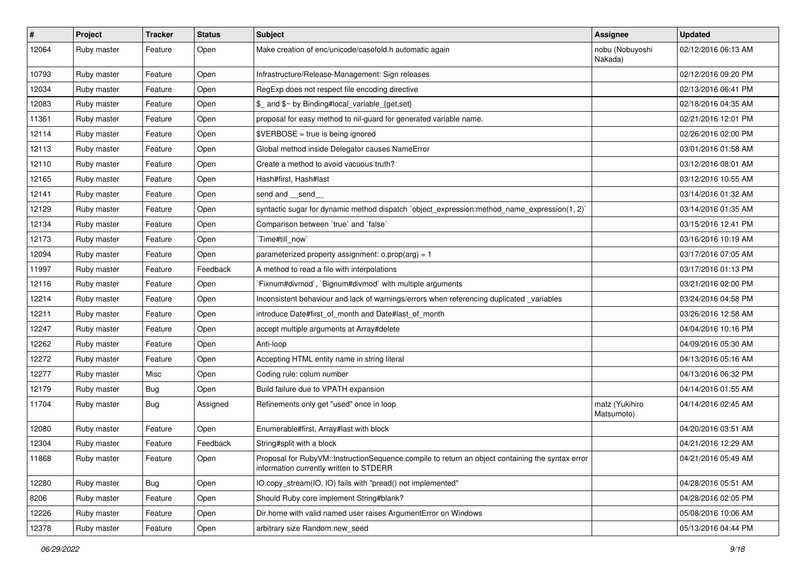| $\pmb{\#}$ | Project     | <b>Tracker</b> | <b>Status</b> | <b>Subject</b>                                                                                                                              | <b>Assignee</b>              | <b>Updated</b>      |
|------------|-------------|----------------|---------------|---------------------------------------------------------------------------------------------------------------------------------------------|------------------------------|---------------------|
| 12064      | Ruby master | Feature        | Open          | Make creation of enc/unicode/casefold.h automatic again                                                                                     | nobu (Nobuyoshi<br>Nakada)   | 02/12/2016 06:13 AM |
| 10793      | Ruby master | Feature        | Open          | Infrastructure/Release-Management: Sign releases                                                                                            |                              | 02/12/2016 09:20 PM |
| 12034      | Ruby master | Feature        | Open          | RegExp does not respect file encoding directive                                                                                             |                              | 02/13/2016 06:41 PM |
| 12083      | Ruby master | Feature        | Open          | \$_ and \$~ by Binding#local_variable_{get,set}                                                                                             |                              | 02/18/2016 04:35 AM |
| 11361      | Ruby master | Feature        | Open          | proposal for easy method to nil-guard for generated variable name.                                                                          |                              | 02/21/2016 12:01 PM |
| 12114      | Ruby master | Feature        | Open          | \$VERBOSE = true is being ignored                                                                                                           |                              | 02/26/2016 02:00 PM |
| 12113      | Ruby master | Feature        | Open          | Global method inside Delegator causes NameError                                                                                             |                              | 03/01/2016 01:58 AM |
| 12110      | Ruby master | Feature        | Open          | Create a method to avoid vacuous truth?                                                                                                     |                              | 03/12/2016 08:01 AM |
| 12165      | Ruby master | Feature        | Open          | Hash#first, Hash#last                                                                                                                       |                              | 03/12/2016 10:55 AM |
| 12141      | Ruby master | Feature        | Open          | send and __send_                                                                                                                            |                              | 03/14/2016 01:32 AM |
| 12129      | Ruby master | Feature        | Open          | syntactic sugar for dynamic method dispatch `object_expression:method_name_expression(1, 2)`                                                |                              | 03/14/2016 01:35 AM |
| 12134      | Ruby master | Feature        | Open          | Comparison between 'true' and 'false'                                                                                                       |                              | 03/15/2016 12:41 PM |
| 12173      | Ruby master | Feature        | Open          | Time#till_now                                                                                                                               |                              | 03/16/2016 10:19 AM |
| 12094      | Ruby master | Feature        | Open          | parameterized property assignment: $o.prop(arg) = 1$                                                                                        |                              | 03/17/2016 07:05 AM |
| 11997      | Ruby master | Feature        | Feedback      | A method to read a file with interpolations                                                                                                 |                              | 03/17/2016 01:13 PM |
| 12116      | Ruby master | Feature        | Open          | Fixnum#divmod`, `Bignum#divmod` with multiple arguments                                                                                     |                              | 03/21/2016 02:00 PM |
| 12214      | Ruby master | Feature        | Open          | Inconsistent behaviour and lack of warnings/errors when referencing duplicated _variables                                                   |                              | 03/24/2016 04:58 PM |
| 12211      | Ruby master | Feature        | Open          | introduce Date#first_of_month and Date#last_of_month                                                                                        |                              | 03/26/2016 12:58 AM |
| 12247      | Ruby master | Feature        | Open          | accept multiple arguments at Array#delete                                                                                                   |                              | 04/04/2016 10:16 PM |
| 12262      | Ruby master | Feature        | Open          | Anti-loop                                                                                                                                   |                              | 04/09/2016 05:30 AM |
| 12272      | Ruby master | Feature        | Open          | Accepting HTML entity name in string literal                                                                                                |                              | 04/13/2016 05:16 AM |
| 12277      | Ruby master | Misc           | Open          | Coding rule: colum number                                                                                                                   |                              | 04/13/2016 06:32 PM |
| 12179      | Ruby master | <b>Bug</b>     | Open          | Build failure due to VPATH expansion                                                                                                        |                              | 04/14/2016 01:55 AM |
| 11704      | Ruby master | <b>Bug</b>     | Assigned      | Refinements only get "used" once in loop                                                                                                    | matz (Yukihiro<br>Matsumoto) | 04/14/2016 02:45 AM |
| 12080      | Ruby master | Feature        | Open          | Enumerable#first, Array#last with block                                                                                                     |                              | 04/20/2016 03:51 AM |
| 12304      | Ruby master | Feature        | Feedback      | String#split with a block                                                                                                                   |                              | 04/21/2016 12:29 AM |
| 11868      | Ruby master | Feature        | Open          | Proposal for RubyVM::InstructionSequence.compile to return an object containing the syntax error<br>information currently written to STDERR |                              | 04/21/2016 05:49 AM |
| 12280      | Ruby master | <b>Bug</b>     | Open          | IO.copy stream(IO, IO) fails with "pread() not implemented"                                                                                 |                              | 04/28/2016 05:51 AM |
| 8206       | Ruby master | Feature        | Open          | Should Ruby core implement String#blank?                                                                                                    |                              | 04/28/2016 02:05 PM |
| 12226      | Ruby master | Feature        | Open          | Dir.home with valid named user raises ArgumentError on Windows                                                                              |                              | 05/08/2016 10:06 AM |
| 12378      | Ruby master | Feature        | Open          | arbitrary size Random.new seed                                                                                                              |                              | 05/13/2016 04:44 PM |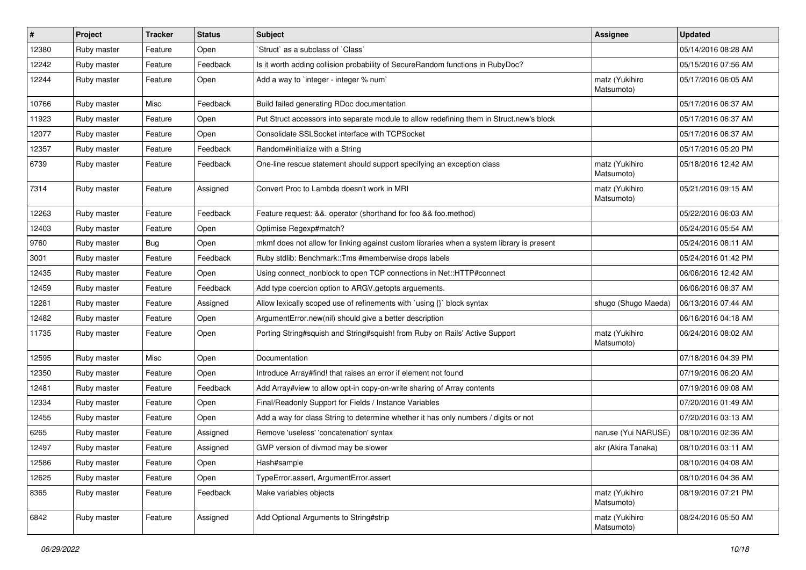| $\sharp$ | Project     | <b>Tracker</b> | <b>Status</b> | <b>Subject</b>                                                                            | <b>Assignee</b>              | <b>Updated</b>      |
|----------|-------------|----------------|---------------|-------------------------------------------------------------------------------------------|------------------------------|---------------------|
| 12380    | Ruby master | Feature        | Open          | 'Struct' as a subclass of 'Class'                                                         |                              | 05/14/2016 08:28 AM |
| 12242    | Ruby master | Feature        | Feedback      | Is it worth adding collision probability of SecureRandom functions in RubyDoc?            |                              | 05/15/2016 07:56 AM |
| 12244    | Ruby master | Feature        | Open          | Add a way to `integer - integer % num`                                                    | matz (Yukihiro<br>Matsumoto) | 05/17/2016 06:05 AM |
| 10766    | Ruby master | Misc           | Feedback      | Build failed generating RDoc documentation                                                |                              | 05/17/2016 06:37 AM |
| 11923    | Ruby master | Feature        | Open          | Put Struct accessors into separate module to allow redefining them in Struct.new's block  |                              | 05/17/2016 06:37 AM |
| 12077    | Ruby master | Feature        | Open          | Consolidate SSLSocket interface with TCPSocket                                            |                              | 05/17/2016 06:37 AM |
| 12357    | Ruby master | Feature        | Feedback      | Random#initialize with a String                                                           |                              | 05/17/2016 05:20 PM |
| 6739     | Ruby master | Feature        | Feedback      | One-line rescue statement should support specifying an exception class                    | matz (Yukihiro<br>Matsumoto) | 05/18/2016 12:42 AM |
| 7314     | Ruby master | Feature        | Assigned      | Convert Proc to Lambda doesn't work in MRI                                                | matz (Yukihiro<br>Matsumoto) | 05/21/2016 09:15 AM |
| 12263    | Ruby master | Feature        | Feedback      | Feature request: &&. operator (shorthand for foo && foo.method)                           |                              | 05/22/2016 06:03 AM |
| 12403    | Ruby master | Feature        | Open          | Optimise Regexp#match?                                                                    |                              | 05/24/2016 05:54 AM |
| 9760     | Ruby master | <b>Bug</b>     | Open          | mkmf does not allow for linking against custom libraries when a system library is present |                              | 05/24/2016 08:11 AM |
| 3001     | Ruby master | Feature        | Feedback      | Ruby stdlib: Benchmark::Tms #memberwise drops labels                                      |                              | 05/24/2016 01:42 PM |
| 12435    | Ruby master | Feature        | Open          | Using connect_nonblock to open TCP connections in Net::HTTP#connect                       |                              | 06/06/2016 12:42 AM |
| 12459    | Ruby master | Feature        | Feedback      | Add type coercion option to ARGV getopts arguements.                                      |                              | 06/06/2016 08:37 AM |
| 12281    | Ruby master | Feature        | Assigned      | Allow lexically scoped use of refinements with `using {}` block syntax                    | shugo (Shugo Maeda)          | 06/13/2016 07:44 AM |
| 12482    | Ruby master | Feature        | Open          | ArgumentError.new(nil) should give a better description                                   |                              | 06/16/2016 04:18 AM |
| 11735    | Ruby master | Feature        | Open          | Porting String#squish and String#squish! from Ruby on Rails' Active Support               | matz (Yukihiro<br>Matsumoto) | 06/24/2016 08:02 AM |
| 12595    | Ruby master | Misc           | Open          | Documentation                                                                             |                              | 07/18/2016 04:39 PM |
| 12350    | Ruby master | Feature        | Open          | Introduce Array#find! that raises an error if element not found                           |                              | 07/19/2016 06:20 AM |
| 12481    | Ruby master | Feature        | Feedback      | Add Array#view to allow opt-in copy-on-write sharing of Array contents                    |                              | 07/19/2016 09:08 AM |
| 12334    | Ruby master | Feature        | Open          | Final/Readonly Support for Fields / Instance Variables                                    |                              | 07/20/2016 01:49 AM |
| 12455    | Ruby master | Feature        | Open          | Add a way for class String to determine whether it has only numbers / digits or not       |                              | 07/20/2016 03:13 AM |
| 6265     | Ruby master | Feature        | Assigned      | Remove 'useless' 'concatenation' syntax                                                   | naruse (Yui NARUSE)          | 08/10/2016 02:36 AM |
| 12497    | Ruby master | Feature        | Assigned      | GMP version of divmod may be slower                                                       | akr (Akira Tanaka)           | 08/10/2016 03:11 AM |
| 12586    | Ruby master | Feature        | Open          | Hash#sample                                                                               |                              | 08/10/2016 04:08 AM |
| 12625    | Ruby master | Feature        | Open          | TypeError.assert, ArgumentError.assert                                                    |                              | 08/10/2016 04:36 AM |
| 8365     | Ruby master | Feature        | Feedback      | Make variables objects                                                                    | matz (Yukihiro<br>Matsumoto) | 08/19/2016 07:21 PM |
| 6842     | Ruby master | Feature        | Assigned      | Add Optional Arguments to String#strip                                                    | matz (Yukihiro<br>Matsumoto) | 08/24/2016 05:50 AM |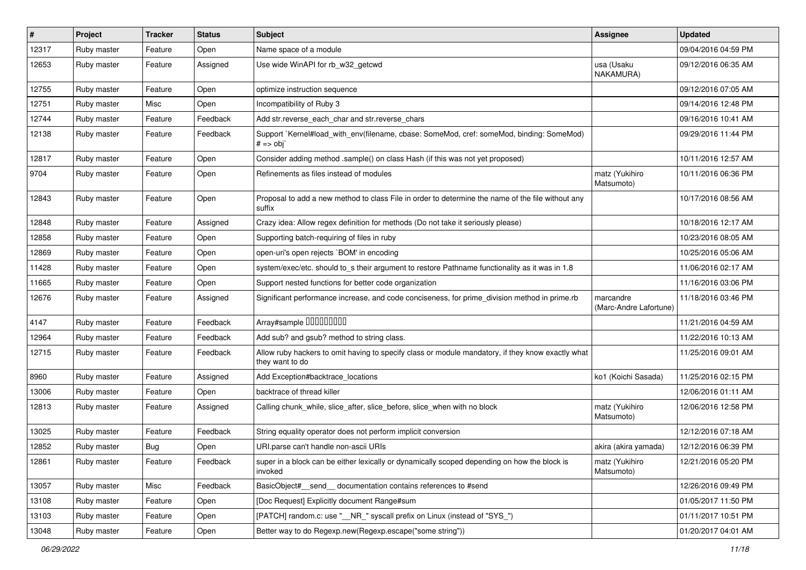| #     | Project     | <b>Tracker</b> | <b>Status</b> | Subject                                                                                                              | <b>Assignee</b>                     | <b>Updated</b>      |
|-------|-------------|----------------|---------------|----------------------------------------------------------------------------------------------------------------------|-------------------------------------|---------------------|
| 12317 | Ruby master | Feature        | Open          | Name space of a module                                                                                               |                                     | 09/04/2016 04:59 PM |
| 12653 | Ruby master | Feature        | Assigned      | Use wide WinAPI for rb_w32_getcwd                                                                                    | usa (Usaku<br>NAKAMURA)             | 09/12/2016 06:35 AM |
| 12755 | Ruby master | Feature        | Open          | optimize instruction sequence                                                                                        |                                     | 09/12/2016 07:05 AM |
| 12751 | Ruby master | Misc           | Open          | Incompatibility of Ruby 3                                                                                            |                                     | 09/14/2016 12:48 PM |
| 12744 | Ruby master | Feature        | Feedback      | Add str.reverse_each_char and str.reverse_chars                                                                      |                                     | 09/16/2016 10:41 AM |
| 12138 | Ruby master | Feature        | Feedback      | Support `Kernel#load_with_env(filename, cbase: SomeMod, cref: someMod, binding: SomeMod)<br>$# == obj$               |                                     | 09/29/2016 11:44 PM |
| 12817 | Ruby master | Feature        | Open          | Consider adding method .sample() on class Hash (if this was not yet proposed)                                        |                                     | 10/11/2016 12:57 AM |
| 9704  | Ruby master | Feature        | Open          | Refinements as files instead of modules                                                                              | matz (Yukihiro<br>Matsumoto)        | 10/11/2016 06:36 PM |
| 12843 | Ruby master | Feature        | Open          | Proposal to add a new method to class File in order to determine the name of the file without any<br>suffix          |                                     | 10/17/2016 08:56 AM |
| 12848 | Ruby master | Feature        | Assigned      | Crazy idea: Allow regex definition for methods (Do not take it seriously please)                                     |                                     | 10/18/2016 12:17 AM |
| 12858 | Ruby master | Feature        | Open          | Supporting batch-requiring of files in ruby                                                                          |                                     | 10/23/2016 08:05 AM |
| 12869 | Ruby master | Feature        | Open          | open-uri's open rejects `BOM' in encoding                                                                            |                                     | 10/25/2016 05:06 AM |
| 11428 | Ruby master | Feature        | Open          | system/exec/etc. should to_s their argument to restore Pathname functionality as it was in 1.8                       |                                     | 11/06/2016 02:17 AM |
| 11665 | Ruby master | Feature        | Open          | Support nested functions for better code organization                                                                |                                     | 11/16/2016 03:06 PM |
| 12676 | Ruby master | Feature        | Assigned      | Significant performance increase, and code conciseness, for prime_division method in prime.rb                        | marcandre<br>(Marc-Andre Lafortune) | 11/18/2016 03:46 PM |
| 4147  | Ruby master | Feature        | Feedback      | Array#sample 00000000                                                                                                |                                     | 11/21/2016 04:59 AM |
| 12964 | Ruby master | Feature        | Feedback      | Add sub? and gsub? method to string class.                                                                           |                                     | 11/22/2016 10:13 AM |
| 12715 | Ruby master | Feature        | Feedback      | Allow ruby hackers to omit having to specify class or module mandatory, if they know exactly what<br>they want to do |                                     | 11/25/2016 09:01 AM |
| 8960  | Ruby master | Feature        | Assigned      | Add Exception#backtrace_locations                                                                                    | ko1 (Koichi Sasada)                 | 11/25/2016 02:15 PM |
| 13006 | Ruby master | Feature        | Open          | backtrace of thread killer                                                                                           |                                     | 12/06/2016 01:11 AM |
| 12813 | Ruby master | Feature        | Assigned      | Calling chunk_while, slice_after, slice_before, slice_when with no block                                             | matz (Yukihiro<br>Matsumoto)        | 12/06/2016 12:58 PM |
| 13025 | Ruby master | Feature        | Feedback      | String equality operator does not perform implicit conversion                                                        |                                     | 12/12/2016 07:18 AM |
| 12852 | Ruby master | <b>Bug</b>     | Open          | URI.parse can't handle non-ascii URIs                                                                                | akira (akira yamada)                | 12/12/2016 06:39 PM |
| 12861 | Ruby master | Feature        | Feedback      | super in a block can be either lexically or dynamically scoped depending on how the block is<br>invoked              | matz (Yukihiro<br>Matsumoto)        | 12/21/2016 05:20 PM |
| 13057 | Ruby master | Misc           | Feedback      | BasicObject#_send_ documentation contains references to #send                                                        |                                     | 12/26/2016 09:49 PM |
| 13108 | Ruby master | Feature        | Open          | [Doc Request] Explicitly document Range#sum                                                                          |                                     | 01/05/2017 11:50 PM |
| 13103 | Ruby master | Feature        | Open          | [PATCH] random.c: use "_NR_" syscall prefix on Linux (instead of "SYS_")                                             |                                     | 01/11/2017 10:51 PM |
| 13048 | Ruby master | Feature        | Open          | Better way to do Regexp.new(Regexp.escape("some string"))                                                            |                                     | 01/20/2017 04:01 AM |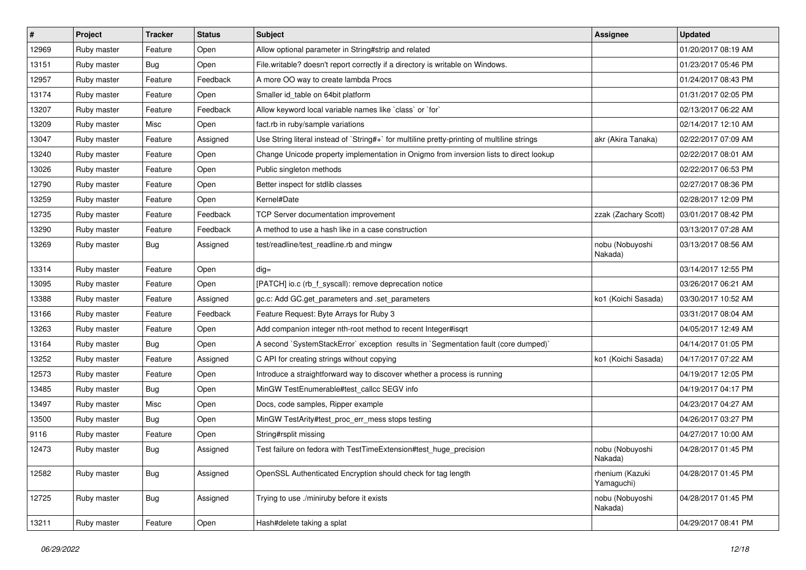| #     | Project     | <b>Tracker</b> | <b>Status</b> | <b>Subject</b>                                                                              | <b>Assignee</b>               | <b>Updated</b>      |
|-------|-------------|----------------|---------------|---------------------------------------------------------------------------------------------|-------------------------------|---------------------|
| 12969 | Ruby master | Feature        | Open          | Allow optional parameter in String#strip and related                                        |                               | 01/20/2017 08:19 AM |
| 13151 | Ruby master | Bug            | Open          | File.writable? doesn't report correctly if a directory is writable on Windows.              |                               | 01/23/2017 05:46 PM |
| 12957 | Ruby master | Feature        | Feedback      | A more OO way to create lambda Procs                                                        |                               | 01/24/2017 08:43 PM |
| 13174 | Ruby master | Feature        | Open          | Smaller id table on 64bit platform                                                          |                               | 01/31/2017 02:05 PM |
| 13207 | Ruby master | Feature        | Feedback      | Allow keyword local variable names like `class` or `for`                                    |                               | 02/13/2017 06:22 AM |
| 13209 | Ruby master | Misc           | Open          | fact.rb in ruby/sample variations                                                           |                               | 02/14/2017 12:10 AM |
| 13047 | Ruby master | Feature        | Assigned      | Use String literal instead of `String#+` for multiline pretty-printing of multiline strings | akr (Akira Tanaka)            | 02/22/2017 07:09 AM |
| 13240 | Ruby master | Feature        | Open          | Change Unicode property implementation in Onigmo from inversion lists to direct lookup      |                               | 02/22/2017 08:01 AM |
| 13026 | Ruby master | Feature        | Open          | Public singleton methods                                                                    |                               | 02/22/2017 06:53 PM |
| 12790 | Ruby master | Feature        | Open          | Better inspect for stdlib classes                                                           |                               | 02/27/2017 08:36 PM |
| 13259 | Ruby master | Feature        | Open          | Kernel#Date                                                                                 |                               | 02/28/2017 12:09 PM |
| 12735 | Ruby master | Feature        | Feedback      | TCP Server documentation improvement                                                        | zzak (Zachary Scott)          | 03/01/2017 08:42 PM |
| 13290 | Ruby master | Feature        | Feedback      | A method to use a hash like in a case construction                                          |                               | 03/13/2017 07:28 AM |
| 13269 | Ruby master | Bug            | Assigned      | test/readline/test_readline.rb and mingw                                                    | nobu (Nobuyoshi<br>Nakada)    | 03/13/2017 08:56 AM |
| 13314 | Ruby master | Feature        | Open          | $dig =$                                                                                     |                               | 03/14/2017 12:55 PM |
| 13095 | Ruby master | Feature        | Open          | [PATCH] io.c (rb_f_syscall): remove deprecation notice                                      |                               | 03/26/2017 06:21 AM |
| 13388 | Ruby master | Feature        | Assigned      | gc.c: Add GC.get_parameters and .set_parameters                                             | ko1 (Koichi Sasada)           | 03/30/2017 10:52 AM |
| 13166 | Ruby master | Feature        | Feedback      | Feature Request: Byte Arrays for Ruby 3                                                     |                               | 03/31/2017 08:04 AM |
| 13263 | Ruby master | Feature        | Open          | Add companion integer nth-root method to recent Integer#isqrt                               |                               | 04/05/2017 12:49 AM |
| 13164 | Ruby master | <b>Bug</b>     | Open          | A second `SystemStackError` exception results in `Segmentation fault (core dumped)`         |                               | 04/14/2017 01:05 PM |
| 13252 | Ruby master | Feature        | Assigned      | C API for creating strings without copying                                                  | ko1 (Koichi Sasada)           | 04/17/2017 07:22 AM |
| 12573 | Ruby master | Feature        | Open          | Introduce a straightforward way to discover whether a process is running                    |                               | 04/19/2017 12:05 PM |
| 13485 | Ruby master | <b>Bug</b>     | Open          | MinGW TestEnumerable#test_callcc SEGV info                                                  |                               | 04/19/2017 04:17 PM |
| 13497 | Ruby master | Misc           | Open          | Docs, code samples, Ripper example                                                          |                               | 04/23/2017 04:27 AM |
| 13500 | Ruby master | <b>Bug</b>     | Open          | MinGW TestArity#test_proc_err_mess stops testing                                            |                               | 04/26/2017 03:27 PM |
| 9116  | Ruby master | Feature        | Open          | String#rsplit missing                                                                       |                               | 04/27/2017 10:00 AM |
| 12473 | Ruby master | <b>Bug</b>     | Assigned      | Test failure on fedora with TestTimeExtension#test huge precision                           | nobu (Nobuyoshi<br>Nakada)    | 04/28/2017 01:45 PM |
| 12582 | Ruby master | Bug            | Assigned      | OpenSSL Authenticated Encryption should check for tag length                                | rhenium (Kazuki<br>Yamaguchi) | 04/28/2017 01:45 PM |
| 12725 | Ruby master | Bug            | Assigned      | Trying to use ./miniruby before it exists                                                   | nobu (Nobuyoshi<br>Nakada)    | 04/28/2017 01:45 PM |
| 13211 | Ruby master | Feature        | Open          | Hash#delete taking a splat                                                                  |                               | 04/29/2017 08:41 PM |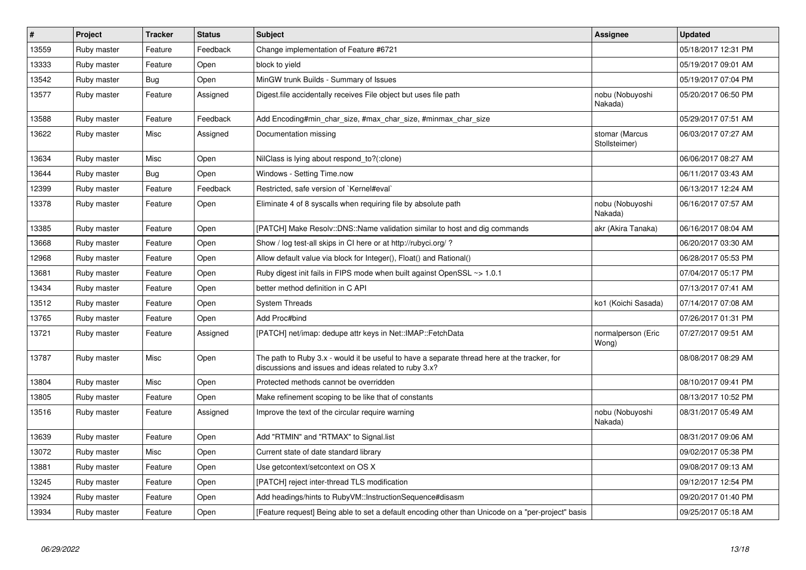| $\vert$ # | Project     | <b>Tracker</b> | <b>Status</b> | <b>Subject</b>                                                                                                                                        | Assignee                        | Updated             |
|-----------|-------------|----------------|---------------|-------------------------------------------------------------------------------------------------------------------------------------------------------|---------------------------------|---------------------|
| 13559     | Ruby master | Feature        | Feedback      | Change implementation of Feature #6721                                                                                                                |                                 | 05/18/2017 12:31 PM |
| 13333     | Ruby master | Feature        | Open          | block to yield                                                                                                                                        |                                 | 05/19/2017 09:01 AM |
| 13542     | Ruby master | <b>Bug</b>     | Open          | MinGW trunk Builds - Summary of Issues                                                                                                                |                                 | 05/19/2017 07:04 PM |
| 13577     | Ruby master | Feature        | Assigned      | Digest file accidentally receives File object but uses file path                                                                                      | nobu (Nobuyoshi<br>Nakada)      | 05/20/2017 06:50 PM |
| 13588     | Ruby master | Feature        | Feedback      | Add Encoding#min_char_size, #max_char_size, #minmax_char_size                                                                                         |                                 | 05/29/2017 07:51 AM |
| 13622     | Ruby master | Misc           | Assigned      | Documentation missing                                                                                                                                 | stomar (Marcus<br>Stollsteimer) | 06/03/2017 07:27 AM |
| 13634     | Ruby master | Misc           | Open          | NilClass is lying about respond_to?(:clone)                                                                                                           |                                 | 06/06/2017 08:27 AM |
| 13644     | Ruby master | Bug            | Open          | Windows - Setting Time.now                                                                                                                            |                                 | 06/11/2017 03:43 AM |
| 12399     | Ruby master | Feature        | Feedback      | Restricted, safe version of `Kernel#eval`                                                                                                             |                                 | 06/13/2017 12:24 AM |
| 13378     | Ruby master | Feature        | Open          | Eliminate 4 of 8 syscalls when requiring file by absolute path                                                                                        | nobu (Nobuyoshi<br>Nakada)      | 06/16/2017 07:57 AM |
| 13385     | Ruby master | Feature        | Open          | [PATCH] Make Resolv::DNS::Name validation similar to host and dig commands                                                                            | akr (Akira Tanaka)              | 06/16/2017 08:04 AM |
| 13668     | Ruby master | Feature        | Open          | Show / log test-all skips in CI here or at http://rubyci.org/?                                                                                        |                                 | 06/20/2017 03:30 AM |
| 12968     | Ruby master | Feature        | Open          | Allow default value via block for Integer(), Float() and Rational()                                                                                   |                                 | 06/28/2017 05:53 PM |
| 13681     | Ruby master | Feature        | Open          | Ruby digest init fails in FIPS mode when built against OpenSSL ~> 1.0.1                                                                               |                                 | 07/04/2017 05:17 PM |
| 13434     | Ruby master | Feature        | Open          | better method definition in C API                                                                                                                     |                                 | 07/13/2017 07:41 AM |
| 13512     | Ruby master | Feature        | Open          | <b>System Threads</b>                                                                                                                                 | ko1 (Koichi Sasada)             | 07/14/2017 07:08 AM |
| 13765     | Ruby master | Feature        | Open          | Add Proc#bind                                                                                                                                         |                                 | 07/26/2017 01:31 PM |
| 13721     | Ruby master | Feature        | Assigned      | [PATCH] net/imap: dedupe attr keys in Net::IMAP::FetchData                                                                                            | normalperson (Eric<br>Wong)     | 07/27/2017 09:51 AM |
| 13787     | Ruby master | Misc           | Open          | The path to Ruby 3.x - would it be useful to have a separate thread here at the tracker, for<br>discussions and issues and ideas related to ruby 3.x? |                                 | 08/08/2017 08:29 AM |
| 13804     | Ruby master | Misc           | Open          | Protected methods cannot be overridden                                                                                                                |                                 | 08/10/2017 09:41 PM |
| 13805     | Ruby master | Feature        | Open          | Make refinement scoping to be like that of constants                                                                                                  |                                 | 08/13/2017 10:52 PM |
| 13516     | Ruby master | Feature        | Assigned      | Improve the text of the circular require warning                                                                                                      | nobu (Nobuyoshi<br>Nakada)      | 08/31/2017 05:49 AM |
| 13639     | Ruby master | Feature        | Open          | Add "RTMIN" and "RTMAX" to Signal.list                                                                                                                |                                 | 08/31/2017 09:06 AM |
| 13072     | Ruby master | Misc           | Open          | Current state of date standard library                                                                                                                |                                 | 09/02/2017 05:38 PM |
| 13881     | Ruby master | Feature        | Open          | Use getcontext/setcontext on OS X                                                                                                                     |                                 | 09/08/2017 09:13 AM |
| 13245     | Ruby master | Feature        | Open          | [PATCH] reject inter-thread TLS modification                                                                                                          |                                 | 09/12/2017 12:54 PM |
| 13924     | Ruby master | Feature        | Open          | Add headings/hints to RubyVM::InstructionSequence#disasm                                                                                              |                                 | 09/20/2017 01:40 PM |
| 13934     | Ruby master | Feature        | Open          | [Feature request] Being able to set a default encoding other than Unicode on a "per-project" basis                                                    |                                 | 09/25/2017 05:18 AM |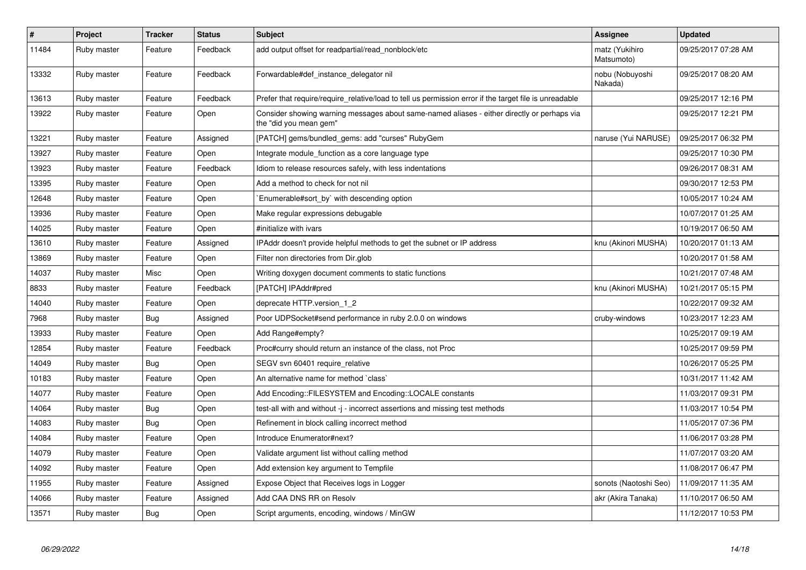| $\pmb{\#}$ | Project     | <b>Tracker</b> | <b>Status</b> | <b>Subject</b>                                                                                                        | Assignee                     | <b>Updated</b>      |
|------------|-------------|----------------|---------------|-----------------------------------------------------------------------------------------------------------------------|------------------------------|---------------------|
| 11484      | Ruby master | Feature        | Feedback      | add output offset for readpartial/read_nonblock/etc                                                                   | matz (Yukihiro<br>Matsumoto) | 09/25/2017 07:28 AM |
| 13332      | Ruby master | Feature        | Feedback      | Forwardable#def instance delegator nil                                                                                | nobu (Nobuyoshi<br>Nakada)   | 09/25/2017 08:20 AM |
| 13613      | Ruby master | Feature        | Feedback      | Prefer that require/require_relative/load to tell us permission error if the target file is unreadable                |                              | 09/25/2017 12:16 PM |
| 13922      | Ruby master | Feature        | Open          | Consider showing warning messages about same-named aliases - either directly or perhaps via<br>the "did you mean gem" |                              | 09/25/2017 12:21 PM |
| 13221      | Ruby master | Feature        | Assigned      | [PATCH] gems/bundled_gems: add "curses" RubyGem                                                                       | naruse (Yui NARUSE)          | 09/25/2017 06:32 PM |
| 13927      | Ruby master | Feature        | Open          | Integrate module_function as a core language type                                                                     |                              | 09/25/2017 10:30 PM |
| 13923      | Ruby master | Feature        | Feedback      | Idiom to release resources safely, with less indentations                                                             |                              | 09/26/2017 08:31 AM |
| 13395      | Ruby master | Feature        | Open          | Add a method to check for not nil                                                                                     |                              | 09/30/2017 12:53 PM |
| 12648      | Ruby master | Feature        | Open          | Enumerable#sort_by` with descending option                                                                            |                              | 10/05/2017 10:24 AM |
| 13936      | Ruby master | Feature        | Open          | Make regular expressions debugable                                                                                    |                              | 10/07/2017 01:25 AM |
| 14025      | Ruby master | Feature        | Open          | #initialize with ivars                                                                                                |                              | 10/19/2017 06:50 AM |
| 13610      | Ruby master | Feature        | Assigned      | IPAddr doesn't provide helpful methods to get the subnet or IP address                                                | knu (Akinori MUSHA)          | 10/20/2017 01:13 AM |
| 13869      | Ruby master | Feature        | Open          | Filter non directories from Dir.glob                                                                                  |                              | 10/20/2017 01:58 AM |
| 14037      | Ruby master | Misc           | Open          | Writing doxygen document comments to static functions                                                                 |                              | 10/21/2017 07:48 AM |
| 8833       | Ruby master | Feature        | Feedback      | [PATCH] IPAddr#pred                                                                                                   | knu (Akinori MUSHA)          | 10/21/2017 05:15 PM |
| 14040      | Ruby master | Feature        | Open          | deprecate HTTP.version 1 2                                                                                            |                              | 10/22/2017 09:32 AM |
| 7968       | Ruby master | Bug            | Assigned      | Poor UDPSocket#send performance in ruby 2.0.0 on windows                                                              | cruby-windows                | 10/23/2017 12:23 AM |
| 13933      | Ruby master | Feature        | Open          | Add Range#empty?                                                                                                      |                              | 10/25/2017 09:19 AM |
| 12854      | Ruby master | Feature        | Feedback      | Proc#curry should return an instance of the class, not Proc                                                           |                              | 10/25/2017 09:59 PM |
| 14049      | Ruby master | Bug            | Open          | SEGV svn 60401 require relative                                                                                       |                              | 10/26/2017 05:25 PM |
| 10183      | Ruby master | Feature        | Open          | An alternative name for method `class`                                                                                |                              | 10/31/2017 11:42 AM |
| 14077      | Ruby master | Feature        | Open          | Add Encoding::FILESYSTEM and Encoding::LOCALE constants                                                               |                              | 11/03/2017 09:31 PM |
| 14064      | Ruby master | Bug            | Open          | test-all with and without -j - incorrect assertions and missing test methods                                          |                              | 11/03/2017 10:54 PM |
| 14083      | Ruby master | <b>Bug</b>     | Open          | Refinement in block calling incorrect method                                                                          |                              | 11/05/2017 07:36 PM |
| 14084      | Ruby master | Feature        | Open          | Introduce Enumerator#next?                                                                                            |                              | 11/06/2017 03:28 PM |
| 14079      | Ruby master | Feature        | Open          | Validate argument list without calling method                                                                         |                              | 11/07/2017 03:20 AM |
| 14092      | Ruby master | Feature        | Open          | Add extension key argument to Tempfile                                                                                |                              | 11/08/2017 06:47 PM |
| 11955      | Ruby master | Feature        | Assigned      | Expose Object that Receives logs in Logger                                                                            | sonots (Naotoshi Seo)        | 11/09/2017 11:35 AM |
| 14066      | Ruby master | Feature        | Assigned      | Add CAA DNS RR on Resolv                                                                                              | akr (Akira Tanaka)           | 11/10/2017 06:50 AM |
| 13571      | Ruby master | <b>Bug</b>     | Open          | Script arguments, encoding, windows / MinGW                                                                           |                              | 11/12/2017 10:53 PM |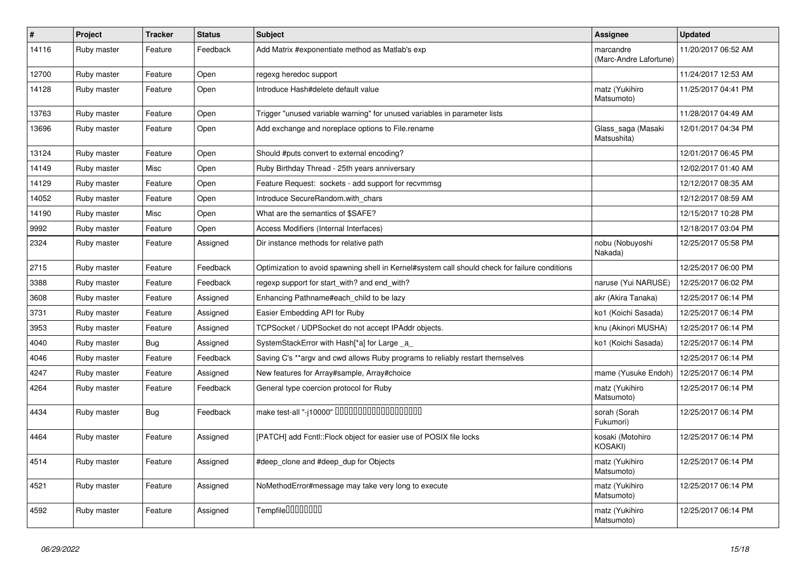| #     | Project     | <b>Tracker</b> | <b>Status</b> | <b>Subject</b>                                                                                 | Assignee                            | <b>Updated</b>      |
|-------|-------------|----------------|---------------|------------------------------------------------------------------------------------------------|-------------------------------------|---------------------|
| 14116 | Ruby master | Feature        | Feedback      | Add Matrix #exponentiate method as Matlab's exp                                                | marcandre<br>(Marc-Andre Lafortune) | 11/20/2017 06:52 AM |
| 12700 | Ruby master | Feature        | Open          | regexg heredoc support                                                                         |                                     | 11/24/2017 12:53 AM |
| 14128 | Ruby master | Feature        | Open          | Introduce Hash#delete default value                                                            | matz (Yukihiro<br>Matsumoto)        | 11/25/2017 04:41 PM |
| 13763 | Ruby master | Feature        | Open          | Trigger "unused variable warning" for unused variables in parameter lists                      |                                     | 11/28/2017 04:49 AM |
| 13696 | Ruby master | Feature        | Open          | Add exchange and noreplace options to File.rename                                              | Glass_saga (Masaki<br>Matsushita)   | 12/01/2017 04:34 PM |
| 13124 | Ruby master | Feature        | Open          | Should #puts convert to external encoding?                                                     |                                     | 12/01/2017 06:45 PM |
| 14149 | Ruby master | Misc           | Open          | Ruby Birthday Thread - 25th years anniversary                                                  |                                     | 12/02/2017 01:40 AM |
| 14129 | Ruby master | Feature        | Open          | Feature Request: sockets - add support for recvmmsg                                            |                                     | 12/12/2017 08:35 AM |
| 14052 | Ruby master | Feature        | Open          | Introduce SecureRandom.with chars                                                              |                                     | 12/12/2017 08:59 AM |
| 14190 | Ruby master | Misc           | Open          | What are the semantics of \$SAFE?                                                              |                                     | 12/15/2017 10:28 PM |
| 9992  | Ruby master | Feature        | Open          | Access Modifiers (Internal Interfaces)                                                         |                                     | 12/18/2017 03:04 PM |
| 2324  | Ruby master | Feature        | Assigned      | Dir instance methods for relative path                                                         | nobu (Nobuyoshi<br>Nakada)          | 12/25/2017 05:58 PM |
| 2715  | Ruby master | Feature        | Feedback      | Optimization to avoid spawning shell in Kernel#system call should check for failure conditions |                                     | 12/25/2017 06:00 PM |
| 3388  | Ruby master | Feature        | Feedback      | regexp support for start_with? and end_with?                                                   | naruse (Yui NARUSE)                 | 12/25/2017 06:02 PM |
| 3608  | Ruby master | Feature        | Assigned      | Enhancing Pathname#each child to be lazy                                                       | akr (Akira Tanaka)                  | 12/25/2017 06:14 PM |
| 3731  | Ruby master | Feature        | Assigned      | Easier Embedding API for Ruby                                                                  | ko1 (Koichi Sasada)                 | 12/25/2017 06:14 PM |
| 3953  | Ruby master | Feature        | Assigned      | TCPSocket / UDPSocket do not accept IPAddr objects.                                            | knu (Akinori MUSHA)                 | 12/25/2017 06:14 PM |
| 4040  | Ruby master | Bug            | Assigned      | SystemStackError with Hash[*a] for Large a                                                     | ko1 (Koichi Sasada)                 | 12/25/2017 06:14 PM |
| 4046  | Ruby master | Feature        | Feedback      | Saving C's **argy and cwd allows Ruby programs to reliably restart themselves                  |                                     | 12/25/2017 06:14 PM |
| 4247  | Ruby master | Feature        | Assigned      | New features for Array#sample, Array#choice                                                    | mame (Yusuke Endoh)                 | 12/25/2017 06:14 PM |
| 4264  | Ruby master | Feature        | Feedback      | General type coercion protocol for Ruby                                                        | matz (Yukihiro<br>Matsumoto)        | 12/25/2017 06:14 PM |
| 4434  | Ruby master | <b>Bug</b>     | Feedback      | make test-all "-j10000" DODODODODODODODODO                                                     | sorah (Sorah<br>Fukumori)           | 12/25/2017 06:14 PM |
| 4464  | Ruby master | Feature        | Assigned      | [PATCH] add Fcntl:: Flock object for easier use of POSIX file locks                            | kosaki (Motohiro<br>KOSAKI)         | 12/25/2017 06:14 PM |
| 4514  | Ruby master | Feature        | Assigned      | #deep_clone and #deep_dup for Objects                                                          | matz (Yukihiro<br>Matsumoto)        | 12/25/2017 06:14 PM |
| 4521  | Ruby master | Feature        | Assigned      | NoMethodError#message may take very long to execute                                            | matz (Yukihiro<br>Matsumoto)        | 12/25/2017 06:14 PM |
| 4592  | Ruby master | Feature        | Assigned      | Tempfile0000000                                                                                | matz (Yukihiro<br>Matsumoto)        | 12/25/2017 06:14 PM |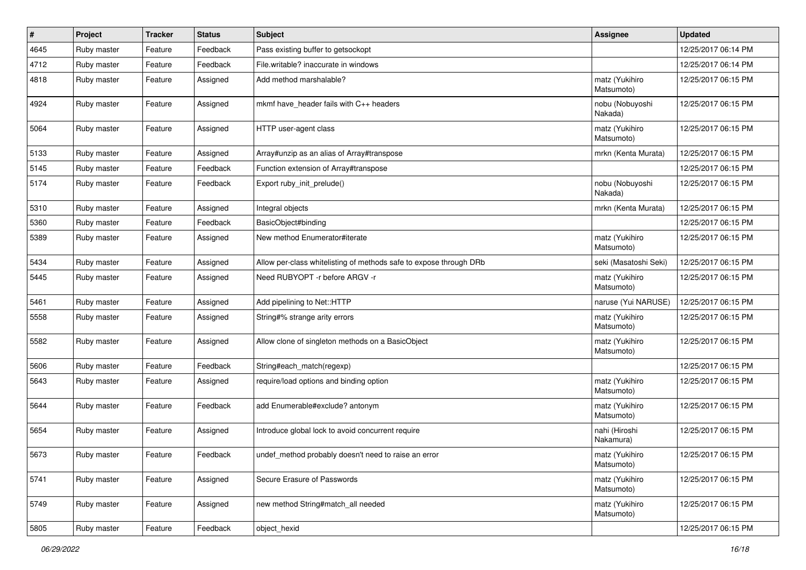| $\pmb{\#}$ | Project     | <b>Tracker</b> | <b>Status</b> | Subject                                                            | <b>Assignee</b>              | <b>Updated</b>      |
|------------|-------------|----------------|---------------|--------------------------------------------------------------------|------------------------------|---------------------|
| 4645       | Ruby master | Feature        | Feedback      | Pass existing buffer to getsockopt                                 |                              | 12/25/2017 06:14 PM |
| 4712       | Ruby master | Feature        | Feedback      | File.writable? inaccurate in windows                               |                              | 12/25/2017 06:14 PM |
| 4818       | Ruby master | Feature        | Assigned      | Add method marshalable?                                            | matz (Yukihiro<br>Matsumoto) | 12/25/2017 06:15 PM |
| 4924       | Ruby master | Feature        | Assigned      | mkmf have_header fails with C++ headers                            | nobu (Nobuyoshi<br>Nakada)   | 12/25/2017 06:15 PM |
| 5064       | Ruby master | Feature        | Assigned      | HTTP user-agent class                                              | matz (Yukihiro<br>Matsumoto) | 12/25/2017 06:15 PM |
| 5133       | Ruby master | Feature        | Assigned      | Array#unzip as an alias of Array#transpose                         | mrkn (Kenta Murata)          | 12/25/2017 06:15 PM |
| 5145       | Ruby master | Feature        | Feedback      | Function extension of Array#transpose                              |                              | 12/25/2017 06:15 PM |
| 5174       | Ruby master | Feature        | Feedback      | Export ruby_init_prelude()                                         | nobu (Nobuyoshi<br>Nakada)   | 12/25/2017 06:15 PM |
| 5310       | Ruby master | Feature        | Assigned      | Integral objects                                                   | mrkn (Kenta Murata)          | 12/25/2017 06:15 PM |
| 5360       | Ruby master | Feature        | Feedback      | BasicObject#binding                                                |                              | 12/25/2017 06:15 PM |
| 5389       | Ruby master | Feature        | Assigned      | New method Enumerator#iterate                                      | matz (Yukihiro<br>Matsumoto) | 12/25/2017 06:15 PM |
| 5434       | Ruby master | Feature        | Assigned      | Allow per-class whitelisting of methods safe to expose through DRb | seki (Masatoshi Seki)        | 12/25/2017 06:15 PM |
| 5445       | Ruby master | Feature        | Assigned      | Need RUBYOPT -r before ARGV -r                                     | matz (Yukihiro<br>Matsumoto) | 12/25/2017 06:15 PM |
| 5461       | Ruby master | Feature        | Assigned      | Add pipelining to Net::HTTP                                        | naruse (Yui NARUSE)          | 12/25/2017 06:15 PM |
| 5558       | Ruby master | Feature        | Assigned      | String#% strange arity errors                                      | matz (Yukihiro<br>Matsumoto) | 12/25/2017 06:15 PM |
| 5582       | Ruby master | Feature        | Assigned      | Allow clone of singleton methods on a BasicObject                  | matz (Yukihiro<br>Matsumoto) | 12/25/2017 06:15 PM |
| 5606       | Ruby master | Feature        | Feedback      | String#each_match(regexp)                                          |                              | 12/25/2017 06:15 PM |
| 5643       | Ruby master | Feature        | Assigned      | require/load options and binding option                            | matz (Yukihiro<br>Matsumoto) | 12/25/2017 06:15 PM |
| 5644       | Ruby master | Feature        | Feedback      | add Enumerable#exclude? antonym                                    | matz (Yukihiro<br>Matsumoto) | 12/25/2017 06:15 PM |
| 5654       | Ruby master | Feature        | Assigned      | Introduce global lock to avoid concurrent require                  | nahi (Hiroshi<br>Nakamura)   | 12/25/2017 06:15 PM |
| 5673       | Ruby master | Feature        | Feedback      | undef_method probably doesn't need to raise an error               | matz (Yukihiro<br>Matsumoto) | 12/25/2017 06:15 PM |
| 5741       | Ruby master | Feature        | Assigned      | Secure Erasure of Passwords                                        | matz (Yukihiro<br>Matsumoto) | 12/25/2017 06:15 PM |
| 5749       | Ruby master | Feature        | Assigned      | new method String#match_all needed                                 | matz (Yukihiro<br>Matsumoto) | 12/25/2017 06:15 PM |
| 5805       | Ruby master | Feature        | Feedback      | object_hexid                                                       |                              | 12/25/2017 06:15 PM |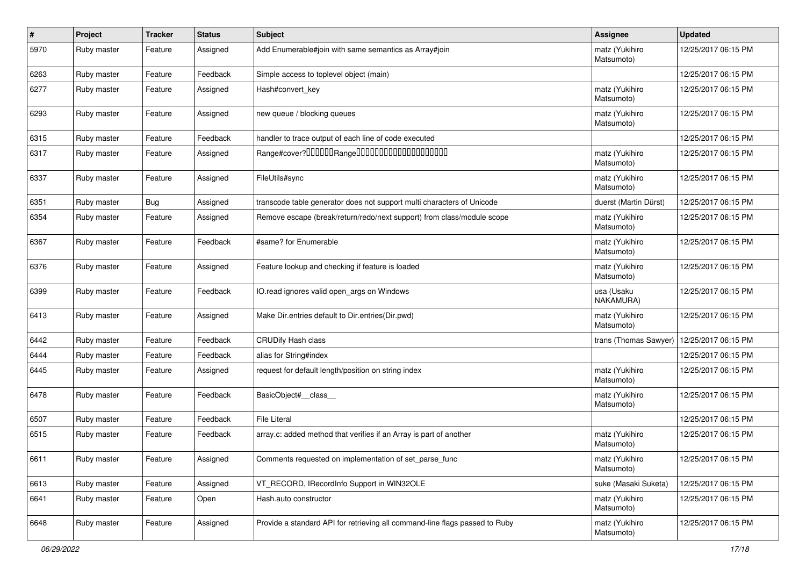| $\sharp$ | Project     | <b>Tracker</b> | <b>Status</b> | <b>Subject</b>                                                              | Assignee                     | <b>Updated</b>      |
|----------|-------------|----------------|---------------|-----------------------------------------------------------------------------|------------------------------|---------------------|
| 5970     | Ruby master | Feature        | Assigned      | Add Enumerable#join with same semantics as Array#join                       | matz (Yukihiro<br>Matsumoto) | 12/25/2017 06:15 PM |
| 6263     | Ruby master | Feature        | Feedback      | Simple access to toplevel object (main)                                     |                              | 12/25/2017 06:15 PM |
| 6277     | Ruby master | Feature        | Assigned      | Hash#convert_key                                                            | matz (Yukihiro<br>Matsumoto) | 12/25/2017 06:15 PM |
| 6293     | Ruby master | Feature        | Assigned      | new queue / blocking queues                                                 | matz (Yukihiro<br>Matsumoto) | 12/25/2017 06:15 PM |
| 6315     | Ruby master | Feature        | Feedback      | handler to trace output of each line of code executed                       |                              | 12/25/2017 06:15 PM |
| 6317     | Ruby master | Feature        | Assigned      |                                                                             | matz (Yukihiro<br>Matsumoto) | 12/25/2017 06:15 PM |
| 6337     | Ruby master | Feature        | Assigned      | FileUtils#sync                                                              | matz (Yukihiro<br>Matsumoto) | 12/25/2017 06:15 PM |
| 6351     | Ruby master | <b>Bug</b>     | Assigned      | transcode table generator does not support multi characters of Unicode      | duerst (Martin Dürst)        | 12/25/2017 06:15 PM |
| 6354     | Ruby master | Feature        | Assigned      | Remove escape (break/return/redo/next support) from class/module scope      | matz (Yukihiro<br>Matsumoto) | 12/25/2017 06:15 PM |
| 6367     | Ruby master | Feature        | Feedback      | #same? for Enumerable                                                       | matz (Yukihiro<br>Matsumoto) | 12/25/2017 06:15 PM |
| 6376     | Ruby master | Feature        | Assigned      | Feature lookup and checking if feature is loaded                            | matz (Yukihiro<br>Matsumoto) | 12/25/2017 06:15 PM |
| 6399     | Ruby master | Feature        | Feedback      | IO.read ignores valid open_args on Windows                                  | usa (Usaku<br>NAKAMURA)      | 12/25/2017 06:15 PM |
| 6413     | Ruby master | Feature        | Assigned      | Make Dir.entries default to Dir.entries(Dir.pwd)                            | matz (Yukihiro<br>Matsumoto) | 12/25/2017 06:15 PM |
| 6442     | Ruby master | Feature        | Feedback      | <b>CRUDify Hash class</b>                                                   | trans (Thomas Sawyer)        | 12/25/2017 06:15 PM |
| 6444     | Ruby master | Feature        | Feedback      | alias for String#index                                                      |                              | 12/25/2017 06:15 PM |
| 6445     | Ruby master | Feature        | Assigned      | request for default length/position on string index                         | matz (Yukihiro<br>Matsumoto) | 12/25/2017 06:15 PM |
| 6478     | Ruby master | Feature        | Feedback      | BasicObject#_class_                                                         | matz (Yukihiro<br>Matsumoto) | 12/25/2017 06:15 PM |
| 6507     | Ruby master | Feature        | Feedback      | <b>File Literal</b>                                                         |                              | 12/25/2017 06:15 PM |
| 6515     | Ruby master | Feature        | Feedback      | array.c: added method that verifies if an Array is part of another          | matz (Yukihiro<br>Matsumoto) | 12/25/2017 06:15 PM |
| 6611     | Ruby master | Feature        | Assigned      | Comments requested on implementation of set_parse_func                      | matz (Yukihiro<br>Matsumoto) | 12/25/2017 06:15 PM |
| 6613     | Ruby master | Feature        | Assigned      | VT_RECORD, IRecordInfo Support in WIN32OLE                                  | suke (Masaki Suketa)         | 12/25/2017 06:15 PM |
| 6641     | Ruby master | Feature        | Open          | Hash.auto constructor                                                       | matz (Yukihiro<br>Matsumoto) | 12/25/2017 06:15 PM |
| 6648     | Ruby master | Feature        | Assigned      | Provide a standard API for retrieving all command-line flags passed to Ruby | matz (Yukihiro<br>Matsumoto) | 12/25/2017 06:15 PM |